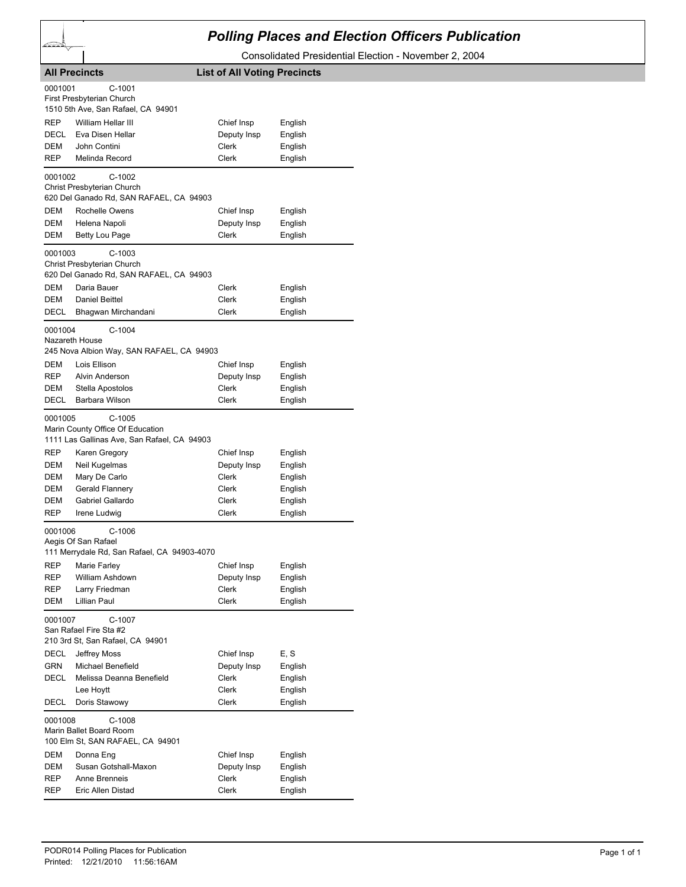## *Polling Places and Election Officers Publication*

Consolidated Presidential Election - November 2, 2004

|                                                      | <b>All Precincts</b>                                                                                   | <b>List of All Voting Precincts</b>                           |                                                                |
|------------------------------------------------------|--------------------------------------------------------------------------------------------------------|---------------------------------------------------------------|----------------------------------------------------------------|
| 0001001                                              | $C-1001$<br>First Presbyterian Church<br>1510 5th Ave, San Rafael, CA 94901                            |                                                               |                                                                |
| REP<br>DECL<br>DEM<br><b>REP</b>                     | William Hellar III<br>Eva Disen Hellar<br>John Contini<br>Melinda Record                               | Chief Insp<br>Deputy Insp<br>Clerk<br>Clerk                   | English<br>English<br>English<br>English                       |
| 0001002                                              | $C-1002$<br>Christ Presbyterian Church<br>620 Del Ganado Rd, SAN RAFAEL, CA 94903                      |                                                               |                                                                |
| DEM<br>DEM<br>DEM                                    | Rochelle Owens<br>Helena Napoli<br>Betty Lou Page                                                      | Chief Insp<br>Deputy Insp<br>Clerk                            | English<br>English<br>English                                  |
| 0001003                                              | $C-1003$<br>Christ Presbyterian Church<br>620 Del Ganado Rd, SAN RAFAEL, CA 94903                      |                                                               |                                                                |
| DEM<br>DEM<br><b>DECL</b>                            | Daria Bauer<br>Daniel Beittel<br>Bhagwan Mirchandani                                                   | Clerk<br><b>Clerk</b><br>Clerk                                | English<br>English<br>English                                  |
| 0001004<br>Nazareth House                            | $C-1004$<br>245 Nova Albion Way, SAN RAFAEL, CA 94903                                                  |                                                               |                                                                |
| <b>DEM</b><br>REP<br>DEM<br>DECL                     | Lois Ellison<br>Alvin Anderson<br>Stella Apostolos<br>Barbara Wilson                                   | Chief Insp<br>Deputy Insp<br>Clerk<br>Clerk                   | English<br>English<br>English<br>English                       |
| 0001005                                              | $C-1005$<br>Marin County Office Of Education<br>1111 Las Gallinas Ave, San Rafael, CA 94903            |                                                               |                                                                |
| REP<br>DEM<br>DEM<br><b>DEM</b><br>DEM<br><b>REP</b> | Karen Gregory<br>Neil Kugelmas<br>Mary De Carlo<br>Gerald Flannery<br>Gabriel Gallardo<br>Irene Ludwig | Chief Insp<br>Deputy Insp<br>Clerk<br>Clerk<br>Clerk<br>Clerk | English<br>English<br>English<br>English<br>English<br>English |
| 0001006                                              | $C-1006$<br>Aegis Of San Rafael<br>111 Merrydale Rd, San Rafael, CA 94903-4070                         |                                                               |                                                                |
| <b>REP</b><br>REP<br>REP<br>DEM                      | Marie Farley<br>William Ashdown<br>Larry Friedman<br>Lillian Paul                                      | Chief Insp<br>Deputy Insp<br>Clerk<br>Clerk                   | English<br>English<br>English<br>English                       |
| 0001007                                              | C-1007<br>San Rafael Fire Sta #2<br>210 3rd St, San Rafael, CA 94901                                   |                                                               |                                                                |
| DECL<br><b>GRN</b><br>DECL                           | Jeffrey Moss<br>Michael Benefield<br>Melissa Deanna Benefield<br>Lee Hoytt                             | Chief Insp<br>Deputy Insp<br>Clerk<br><b>Clerk</b>            | E, S<br>English<br>English<br>English                          |
| DECL<br>0001008                                      | Doris Stawowy<br>$C-1008$                                                                              | <b>Clerk</b>                                                  | English                                                        |
| DEM                                                  | Marin Ballet Board Room<br>100 Elm St, SAN RAFAEL, CA 94901<br>Donna Eng                               | Chief Insp                                                    | English                                                        |
| DEM<br>REP<br>REP                                    | Susan Gotshall-Maxon<br>Anne Brenneis<br>Eric Allen Distad                                             | Deputy Insp<br>Clerk<br>Clerk                                 | English<br>English<br>English                                  |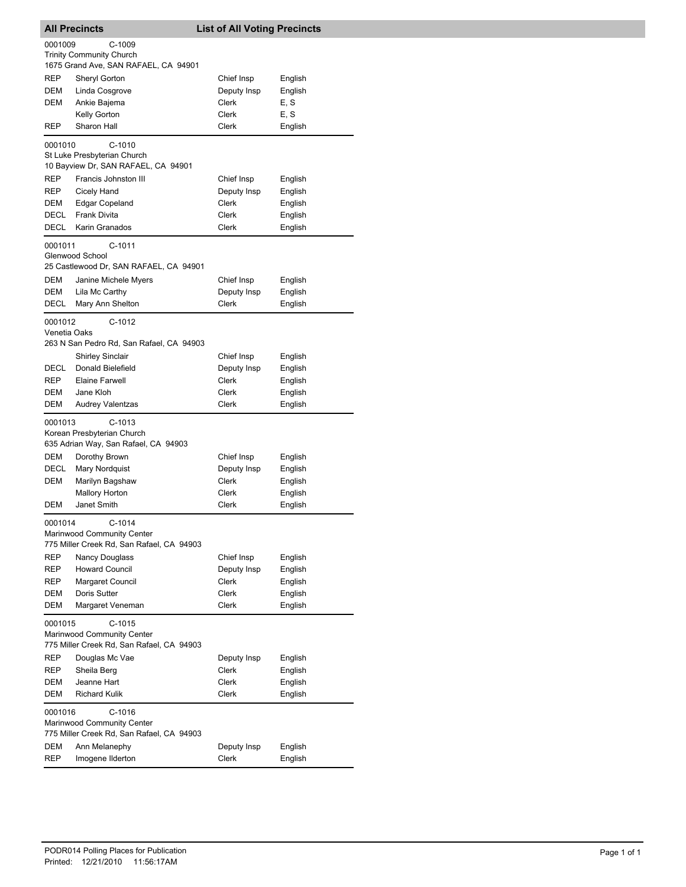|              | <b>All Precincts</b>                                                              | <b>List of All Voting Precincts</b> |         |
|--------------|-----------------------------------------------------------------------------------|-------------------------------------|---------|
| 0001009      | $C-1009$                                                                          |                                     |         |
|              | <b>Trinity Community Church</b>                                                   |                                     |         |
|              | 1675 Grand Ave, SAN RAFAEL, CA 94901                                              |                                     |         |
| REP          | Sheryl Gorton                                                                     | Chief Insp                          | English |
| DEM          | Linda Cosgrove                                                                    | Deputy Insp                         | English |
| DEM          | Ankie Bajema                                                                      | Clerk                               | E, S    |
|              | Kelly Gorton                                                                      | Clerk                               | E, S    |
| REP          | Sharon Hall                                                                       | Clerk                               | English |
| 0001010      | $C-1010$                                                                          |                                     |         |
|              | St Luke Presbyterian Church                                                       |                                     |         |
|              | 10 Bayview Dr, SAN RAFAEL, CA 94901                                               |                                     |         |
| REP          | Francis Johnston III                                                              | Chief Insp                          | English |
| REP          | Cicely Hand                                                                       | Deputy Insp                         | English |
| DEM          | <b>Edgar Copeland</b>                                                             | Clerk                               | English |
| DECL         | <b>Frank Divita</b>                                                               | Clerk                               | English |
| DECL         | Karin Granados                                                                    | Clerk                               | English |
| 0001011      | C-1011                                                                            |                                     |         |
|              | Glenwood School                                                                   |                                     |         |
|              | 25 Castlewood Dr, SAN RAFAEL, CA 94901                                            |                                     |         |
| DEM          | Janine Michele Myers                                                              | Chief Insp                          | English |
| DEM          | Lila Mc Carthy                                                                    | Deputy Insp                         | English |
| DECL         | Mary Ann Shelton                                                                  | Clerk                               | English |
| 0001012      | $C-1012$                                                                          |                                     |         |
| Venetia Oaks |                                                                                   |                                     |         |
|              | 263 N San Pedro Rd, San Rafael, CA 94903                                          |                                     |         |
|              | <b>Shirley Sinclair</b>                                                           | Chief Insp                          | English |
| DECL         | Donald Bielefield                                                                 | Deputy Insp                         | English |
| <b>REP</b>   | <b>Elaine Farwell</b>                                                             | Clerk                               | English |
| <b>DEM</b>   | Jane Kloh                                                                         | Clerk                               | English |
| DEM          | <b>Audrey Valentzas</b>                                                           | Clerk                               | English |
| 0001013      | $C-1013$<br>Korean Presbyterian Church<br>635 Adrian Way, San Rafael, CA 94903    |                                     |         |
| DEM          | Dorothy Brown                                                                     | Chief Insp                          | English |
| DECL         | Mary Nordquist                                                                    | Deputy Insp                         | English |
| DEM          | Marilyn Bagshaw                                                                   | Clerk                               | English |
|              | <b>Mallory Horton</b>                                                             | Clerk                               | English |
| DEM          | Janet Smith                                                                       | Clerk                               | English |
|              |                                                                                   |                                     |         |
| 0001014      | $C-1014$<br>Marinwood Community Center                                            |                                     |         |
|              | 775 Miller Creek Rd, San Rafael, CA 94903                                         |                                     |         |
| REP          | <b>Nancy Douglass</b>                                                             | Chief Insp                          | English |
| REP          | <b>Howard Council</b>                                                             | Deputy Insp                         | English |
| REP          | Margaret Council                                                                  | Clerk                               | English |
| <b>DEM</b>   | Doris Sutter                                                                      | Clerk                               | English |
| DEM          | Margaret Veneman                                                                  | Clerk                               | English |
| 0001015      | $C-1015$                                                                          |                                     |         |
|              | Marinwood Community Center<br>775 Miller Creek Rd, San Rafael, CA 94903           |                                     |         |
| REP          | Douglas Mc Vae                                                                    | Deputy Insp                         | English |
| REP          | Sheila Berg                                                                       | Clerk                               | English |
| DEM          | Jeanne Hart                                                                       | Clerk                               | English |
| DEM          | <b>Richard Kulik</b>                                                              | Clerk                               | English |
| 0001016      | C-1016<br>Marinwood Community Center<br>775 Miller Creek Rd, San Rafael, CA 94903 |                                     |         |
| DEM          | Ann Melanephy                                                                     | Deputy Insp                         | English |
| <b>REP</b>   | Imogene Ilderton                                                                  | Clerk                               | English |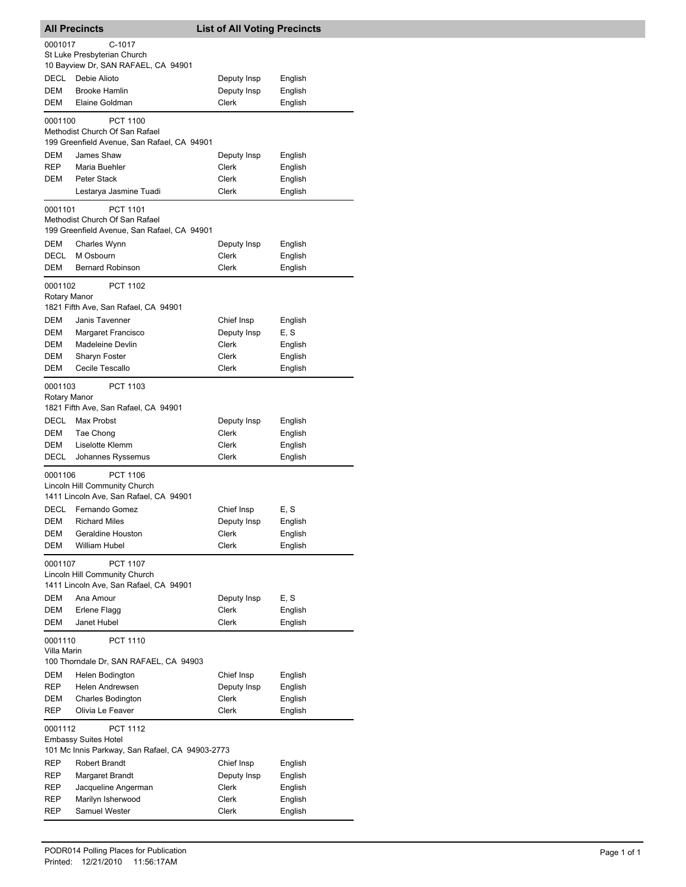| <b>All Precincts</b>    |                                                                                | <b>List of All Voting Precincts</b> |         |  |
|-------------------------|--------------------------------------------------------------------------------|-------------------------------------|---------|--|
| 0001017                 | $C-1017$                                                                       |                                     |         |  |
|                         | St Luke Presbyterian Church<br>10 Bayview Dr, SAN RAFAEL, CA 94901             |                                     |         |  |
| <b>DECL</b>             | Debie Alioto                                                                   | Deputy Insp                         | English |  |
| DEM                     | <b>Brooke Hamlin</b>                                                           | Deputy Insp                         | English |  |
| DEM                     | Elaine Goldman                                                                 | Clerk                               | English |  |
| 0001100                 | PCT 1100<br>Methodist Church Of San Rafael                                     |                                     |         |  |
|                         | 199 Greenfield Avenue, San Rafael, CA 94901                                    |                                     |         |  |
| DEM                     | James Shaw                                                                     | Deputy Insp                         | English |  |
| REP                     | Maria Buehler                                                                  | Clerk                               | English |  |
| DEM                     | Peter Stack<br>Lestarya Jasmine Tuadi                                          | Clerk<br>Clerk                      | English |  |
|                         |                                                                                |                                     | English |  |
| 0001101                 | <b>PCT 1101</b><br>Methodist Church Of San Rafael                              |                                     |         |  |
|                         | 199 Greenfield Avenue, San Rafael, CA 94901                                    |                                     |         |  |
| DEM                     | Charles Wynn                                                                   | Deputy Insp                         | English |  |
| DECL                    | M Osbourn                                                                      | Clerk                               | English |  |
| DEM                     | <b>Bernard Robinson</b>                                                        | Clerk                               | English |  |
| 0001102                 | PCT 1102                                                                       |                                     |         |  |
| Rotary Manor            | 1821 Fifth Ave, San Rafael, CA 94901                                           |                                     |         |  |
| DEM                     | Janis Tavenner                                                                 | Chief Insp                          | English |  |
| DEM                     | Margaret Francisco                                                             | Deputy Insp                         | E, S    |  |
| DEM                     | <b>Madeleine Devlin</b>                                                        | Clerk                               | English |  |
| DEM                     | Sharyn Foster<br>Cecile Tescallo                                               | Clerk                               | English |  |
| DEM                     |                                                                                | Clerk                               | English |  |
| 0001103<br>Rotary Manor | PCT 1103                                                                       |                                     |         |  |
|                         | 1821 Fifth Ave, San Rafael, CA 94901                                           |                                     |         |  |
| DECL                    | Max Probst                                                                     | Deputy Insp                         | English |  |
| DEM                     | Tae Chong                                                                      | Clerk                               | English |  |
| <b>DEM</b>              | Liselotte Klemm                                                                | Clerk                               | English |  |
| DECL                    | Johannes Ryssemus                                                              | Clerk                               | English |  |
| 0001106                 | PCT 1106                                                                       |                                     |         |  |
|                         | Lincoln Hill Community Church<br>1411 Lincoln Ave, San Rafael, CA 94901        |                                     |         |  |
| <b>DECL</b>             | Fernando Gomez                                                                 | Chief Insp                          | E, S    |  |
| DEM                     | <b>Richard Miles</b>                                                           | Deputy Insp                         | English |  |
| DEM                     | Geraldine Houston                                                              | Clerk                               | English |  |
| <b>DEM</b>              | William Hubel                                                                  | Clerk                               | English |  |
| 0001107                 | <b>PCT 1107</b>                                                                |                                     |         |  |
|                         | Lincoln Hill Community Church<br>1411 Lincoln Ave, San Rafael, CA 94901        |                                     |         |  |
| DEM                     | Ana Amour                                                                      | Deputy Insp                         | E, S    |  |
| DEM                     | Erlene Flagg                                                                   | Clerk                               | English |  |
| DEM                     | Janet Hubel                                                                    | Clerk                               | English |  |
| 0001110                 | <b>PCT 1110</b>                                                                |                                     |         |  |
| Villa Marin             | 100 Thorndale Dr, SAN RAFAEL, CA 94903                                         |                                     |         |  |
| DEM                     | Helen Bodington                                                                | Chief Insp                          | English |  |
| REP                     | Helen Andrewsen                                                                | Deputy Insp                         | English |  |
| DEM                     | Charles Bodington                                                              | Clerk                               | English |  |
| REP                     | Olivia Le Feaver                                                               | Clerk                               | English |  |
| 0001112                 | PCT 1112                                                                       |                                     |         |  |
|                         | <b>Embassy Suites Hotel</b><br>101 Mc Innis Parkway, San Rafael, CA 94903-2773 |                                     |         |  |
| REP                     | <b>Robert Brandt</b>                                                           | Chief Insp                          | English |  |
| REP                     | Margaret Brandt                                                                | Deputy Insp                         | English |  |
| REP                     | Jacqueline Angerman                                                            | Clerk                               | English |  |
| REP                     | Marilyn Isherwood                                                              | Clerk                               | English |  |
| REP                     | Samuel Wester                                                                  | Clerk                               | English |  |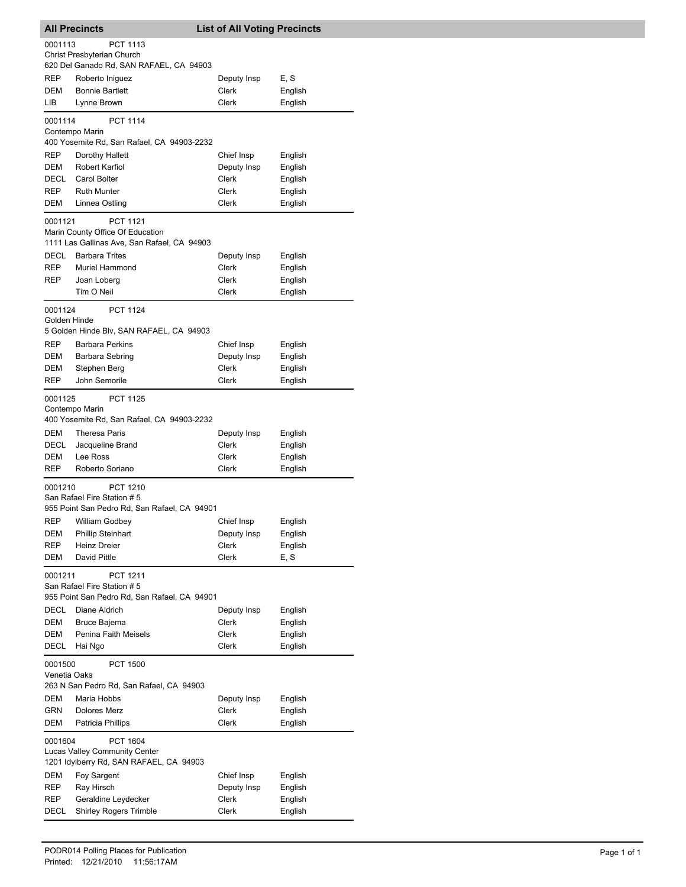| <b>All Precincts</b>                                                                   |                                                                                         | <b>List of All Voting Precincts</b> |         |  |
|----------------------------------------------------------------------------------------|-----------------------------------------------------------------------------------------|-------------------------------------|---------|--|
| 0001113                                                                                | PCT 1113                                                                                |                                     |         |  |
|                                                                                        | Christ Presbyterian Church                                                              |                                     |         |  |
|                                                                                        | 620 Del Ganado Rd, SAN RAFAEL, CA 94903                                                 |                                     |         |  |
| REP                                                                                    | Roberto Iniguez                                                                         | Deputy Insp                         | E, S    |  |
| DEM                                                                                    | <b>Bonnie Bartlett</b>                                                                  | Clerk                               | English |  |
| LIB                                                                                    | Lynne Brown                                                                             | Clerk                               | English |  |
| 0001114                                                                                | <b>PCT 1114</b>                                                                         |                                     |         |  |
|                                                                                        | Contempo Marin                                                                          |                                     |         |  |
|                                                                                        | 400 Yosemite Rd, San Rafael, CA 94903-2232                                              |                                     |         |  |
| REP                                                                                    | Dorothy Hallett                                                                         | Chief Insp                          | English |  |
| DEM                                                                                    | <b>Robert Karfiol</b>                                                                   | Deputy Insp                         | English |  |
| DECL                                                                                   | Carol Bolter                                                                            | Clerk                               | English |  |
| REP                                                                                    | <b>Ruth Munter</b>                                                                      | Clerk                               | English |  |
| DEM                                                                                    | Linnea Ostling                                                                          | Clerk                               | English |  |
|                                                                                        |                                                                                         |                                     |         |  |
| 0001121                                                                                | <b>PCT 1121</b>                                                                         |                                     |         |  |
|                                                                                        | Marin County Office Of Education                                                        |                                     |         |  |
|                                                                                        | 1111 Las Gallinas Ave, San Rafael, CA 94903                                             |                                     |         |  |
| DECL                                                                                   | <b>Barbara Trites</b>                                                                   | Deputy Insp                         | English |  |
| REP                                                                                    | Muriel Hammond                                                                          | Clerk                               | English |  |
| REP                                                                                    | Joan Loberg                                                                             | Clerk                               | English |  |
|                                                                                        | Tim O Neil                                                                              | Clerk                               | English |  |
| 0001124                                                                                | <b>PCT 1124</b>                                                                         |                                     |         |  |
| Golden Hinde                                                                           |                                                                                         |                                     |         |  |
|                                                                                        | 5 Golden Hinde Blv, SAN RAFAEL, CA 94903                                                |                                     |         |  |
| REP                                                                                    | <b>Barbara Perkins</b>                                                                  | Chief Insp                          | English |  |
| DEM                                                                                    | Barbara Sebring                                                                         | Deputy Insp                         | English |  |
| DEM                                                                                    | Stephen Berg                                                                            | Clerk                               | English |  |
| <b>REP</b>                                                                             | John Semorile                                                                           | Clerk                               | English |  |
| 0001125<br>Contempo Marin                                                              | <b>PCT 1125</b><br>400 Yosemite Rd, San Rafael, CA 94903-2232                           |                                     |         |  |
| DEM                                                                                    | <b>Theresa Paris</b>                                                                    | Deputy Insp                         | English |  |
| DECL                                                                                   | Jacqueline Brand                                                                        | Clerk                               | English |  |
| DEM                                                                                    | Lee Ross                                                                                | Clerk                               | English |  |
| <b>REP</b>                                                                             | Roberto Soriano                                                                         | Clerk                               | English |  |
|                                                                                        |                                                                                         |                                     |         |  |
| 0001210                                                                                | PCT 1210<br>San Rafael Fire Station # 5<br>955 Point San Pedro Rd, San Rafael, CA 94901 |                                     |         |  |
| <b>REP</b>                                                                             | William Godbey                                                                          | Chief Insp                          | English |  |
| DEM                                                                                    | <b>Phillip Steinhart</b>                                                                | Deputy Insp                         | English |  |
| REP                                                                                    | <b>Heinz Dreier</b>                                                                     | Clerk                               | English |  |
| DEM                                                                                    | David Pittle                                                                            | Clerk                               | E, S    |  |
| 0001211                                                                                | PCT 1211<br>San Rafael Fire Station # 5                                                 |                                     |         |  |
|                                                                                        | 955 Point San Pedro Rd, San Rafael, CA 94901                                            |                                     |         |  |
| DECL                                                                                   | Diane Aldrich                                                                           | Deputy Insp                         | English |  |
| DEM                                                                                    | Bruce Bajema                                                                            | Clerk                               | English |  |
| DEM                                                                                    | Penina Faith Meisels                                                                    | Clerk                               | English |  |
| DECL                                                                                   | Hai Ngo                                                                                 | Clerk                               | English |  |
| 0001500<br><b>PCT 1500</b><br>Venetia Oaks<br>263 N San Pedro Rd, San Rafael, CA 94903 |                                                                                         |                                     |         |  |
| DEM                                                                                    | Maria Hobbs                                                                             | Deputy Insp                         | English |  |
| <b>GRN</b>                                                                             | <b>Dolores Merz</b>                                                                     | Clerk                               | English |  |
| DEM                                                                                    | Patricia Phillips                                                                       | Clerk                               | English |  |
| 0001604                                                                                | PCT 1604                                                                                |                                     |         |  |
|                                                                                        | Lucas Valley Community Center                                                           |                                     |         |  |
|                                                                                        | 1201 Idylberry Rd, SAN RAFAEL, CA 94903                                                 |                                     |         |  |
| DEM                                                                                    | Foy Sargent                                                                             | Chief Insp                          | English |  |
| REP                                                                                    | Ray Hirsch                                                                              | Deputy Insp                         | English |  |
| REP                                                                                    | Geraldine Leydecker                                                                     | Clerk                               | English |  |
| DECL                                                                                   | <b>Shirley Rogers Trimble</b>                                                           | Clerk                               | English |  |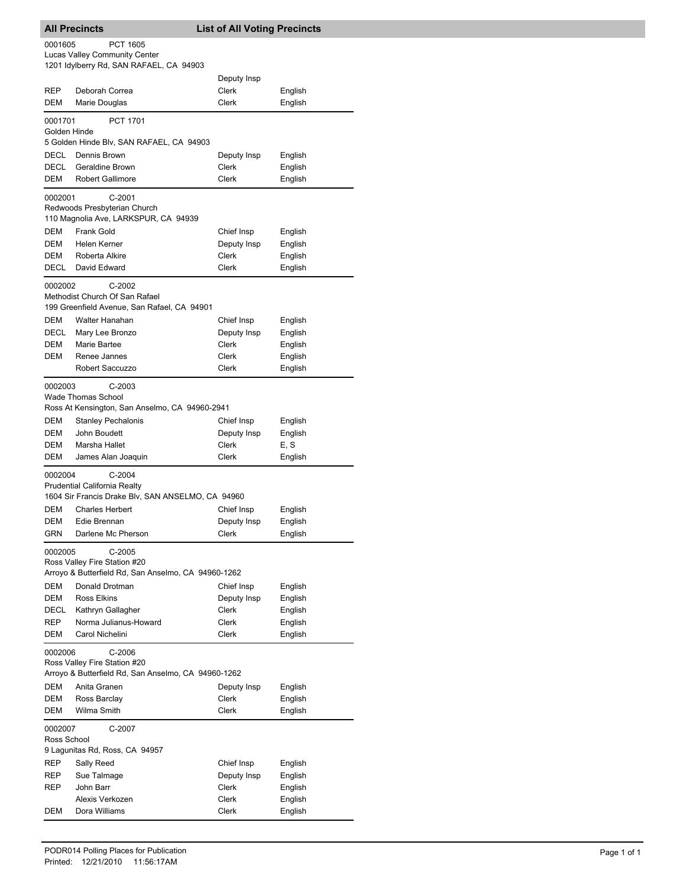|                                                                                                          | <b>All Precincts</b>                                                                                                                 | <b>List of All Voting Precincts</b> |                    |  |
|----------------------------------------------------------------------------------------------------------|--------------------------------------------------------------------------------------------------------------------------------------|-------------------------------------|--------------------|--|
| 0001605                                                                                                  | <b>PCT 1605</b><br><b>Lucas Valley Community Center</b><br>1201 Idylberry Rd, SAN RAFAEL, CA 94903                                   |                                     |                    |  |
|                                                                                                          |                                                                                                                                      | Deputy Insp                         |                    |  |
| <b>REP</b><br>DEM                                                                                        | Deborah Correa<br>Marie Douglas                                                                                                      | Clerk<br>Clerk                      | English<br>English |  |
| 0001701<br>Golden Hinde                                                                                  | <b>PCT 1701</b>                                                                                                                      |                                     |                    |  |
|                                                                                                          | 5 Golden Hinde Blv, SAN RAFAEL, CA 94903                                                                                             |                                     |                    |  |
| <b>DECL</b><br>DECL                                                                                      | Dennis Brown<br><b>Geraldine Brown</b>                                                                                               | Deputy Insp<br>Clerk                | English<br>English |  |
| DEM                                                                                                      | <b>Robert Gallimore</b>                                                                                                              | Clerk                               | English            |  |
| 0002001                                                                                                  | $C-2001$<br>Redwoods Presbyterian Church<br>110 Magnolia Ave, LARKSPUR, CA 94939                                                     |                                     |                    |  |
| DEM                                                                                                      | Frank Gold                                                                                                                           | Chief Insp                          | English            |  |
| DEM<br><b>DEM</b>                                                                                        | Helen Kerner                                                                                                                         | Deputy Insp                         | English            |  |
| DECL                                                                                                     | Roberta Alkire<br>David Edward                                                                                                       | Clerk<br>Clerk                      | English<br>English |  |
| 0002002                                                                                                  | $C-2002$<br>Methodist Church Of San Rafael<br>199 Greenfield Avenue, San Rafael, CA 94901                                            |                                     |                    |  |
| DEM                                                                                                      | <b>Walter Hanahan</b>                                                                                                                | Chief Insp                          | English            |  |
| DECL                                                                                                     | Mary Lee Bronzo                                                                                                                      | Deputy Insp                         | English            |  |
| DEM                                                                                                      | Marie Bartee                                                                                                                         | Clerk                               | English            |  |
| DEM                                                                                                      | Renee Jannes<br>Robert Saccuzzo                                                                                                      | Clerk<br>Clerk                      | English<br>English |  |
| 0002003<br>DEM<br>DEM                                                                                    | $C-2003$<br><b>Wade Thomas School</b><br>Ross At Kensington, San Anselmo, CA 94960-2941<br><b>Stanley Pechalonis</b><br>John Boudett | Chief Insp<br>Deputy Insp           | English<br>English |  |
| DEM                                                                                                      | Marsha Hallet                                                                                                                        | Clerk                               | E, S               |  |
| DEM<br>0002004                                                                                           | James Alan Joaquin<br>$C-2004$                                                                                                       | Clerk                               | English            |  |
|                                                                                                          | Prudential California Realty                                                                                                         |                                     |                    |  |
|                                                                                                          | 1604 Sir Francis Drake Blv, SAN ANSELMO, CA 94960                                                                                    |                                     |                    |  |
| DEM<br>DEM                                                                                               | <b>Charles Herbert</b><br>Edie Brennan                                                                                               | Chief Insp<br>Deputy Insp           | English<br>English |  |
| GRN                                                                                                      | Darlene Mc Pherson                                                                                                                   | Clerk                               | English            |  |
| 0002005                                                                                                  | $C-2005$<br>Ross Valley Fire Station #20<br>Arroyo & Butterfield Rd, San Anselmo, CA 94960-1262                                      |                                     |                    |  |
| DEM                                                                                                      | Donald Drotman                                                                                                                       | Chief Insp                          | English            |  |
| DEM                                                                                                      | Ross Elkins                                                                                                                          | Deputy Insp                         | English            |  |
| DECL<br>REP                                                                                              | Kathryn Gallagher<br>Norma Julianus-Howard                                                                                           | Clerk<br>Clerk                      | English<br>English |  |
| DEM                                                                                                      | Carol Nichelini                                                                                                                      | Clerk                               | English            |  |
| C-2006<br>0002006<br>Ross Valley Fire Station #20<br>Arroyo & Butterfield Rd, San Anselmo, CA 94960-1262 |                                                                                                                                      |                                     |                    |  |
| DEM                                                                                                      | Anita Granen                                                                                                                         | Deputy Insp                         | English            |  |
| DEM                                                                                                      | Ross Barclay                                                                                                                         | Clerk                               | English            |  |
| DEM                                                                                                      | Wilma Smith                                                                                                                          | Clerk                               | English            |  |
| 0002007<br>Ross School                                                                                   | C-2007<br>9 Lagunitas Rd, Ross, CA 94957                                                                                             |                                     |                    |  |
| REP                                                                                                      | Sally Reed                                                                                                                           | Chief Insp                          | English            |  |
| REP<br>REP                                                                                               | Sue Talmage<br>John Barr                                                                                                             | Deputy Insp<br>Clerk                | English<br>English |  |
|                                                                                                          | Alexis Verkozen                                                                                                                      | Clerk                               | English            |  |
| DEM                                                                                                      | Dora Williams                                                                                                                        | Clerk                               | English            |  |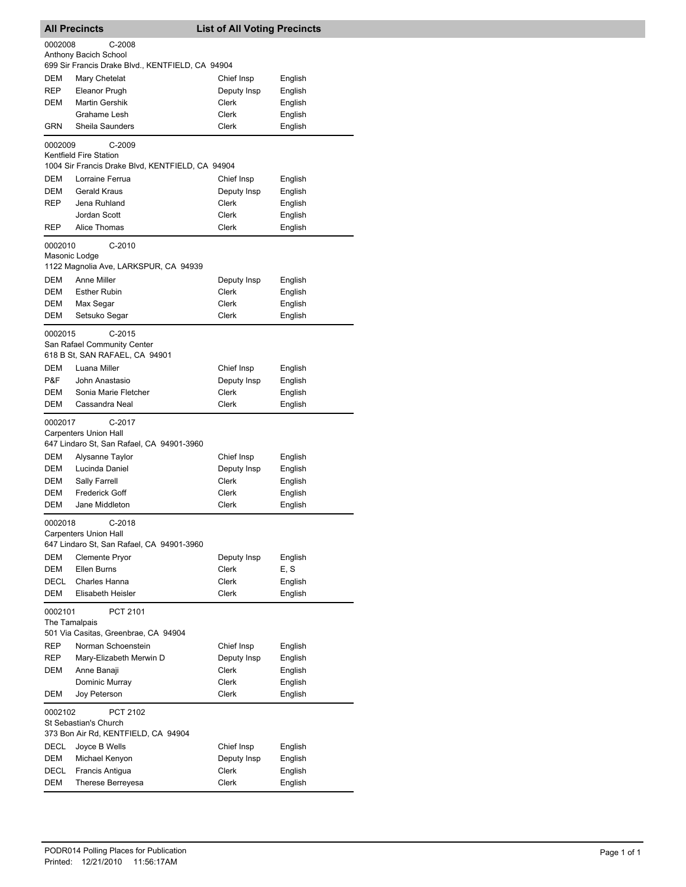|            | <b>All Precincts</b>                                   | <b>List of All Voting Precincts</b> |                    |
|------------|--------------------------------------------------------|-------------------------------------|--------------------|
| 0002008    | $C-2008$                                               |                                     |                    |
|            | Anthony Bacich School                                  |                                     |                    |
| DEM        | 699 Sir Francis Drake Blvd., KENTFIELD, CA 94904       |                                     |                    |
| REP        | Mary Chetelat<br>Eleanor Prugh                         | Chief Insp<br>Deputy Insp           | English<br>English |
| DEM        | <b>Martin Gershik</b>                                  | Clerk                               | English            |
|            | Grahame Lesh                                           | Clerk                               | English            |
| GRN        | Sheila Saunders                                        | Clerk                               | English            |
| 0002009    | C-2009                                                 |                                     |                    |
|            | Kentfield Fire Station                                 |                                     |                    |
|            | 1004 Sir Francis Drake Blvd, KENTFIELD, CA 94904       |                                     |                    |
| DEM        | Lorraine Ferrua                                        | Chief Insp                          | English            |
| DEM        | <b>Gerald Kraus</b>                                    | Deputy Insp                         | English            |
| REP        | Jena Ruhland                                           | Clerk                               | English            |
|            | Jordan Scott                                           | Clerk                               | English            |
| REP        | Alice Thomas                                           | Clerk                               | English            |
| 0002010    | $C-2010$                                               |                                     |                    |
|            | Masonic Lodge<br>1122 Magnolia Ave, LARKSPUR, CA 94939 |                                     |                    |
| <b>DEM</b> | Anne Miller                                            | Deputy Insp                         | English            |
| DEM        | <b>Esther Rubin</b>                                    | <b>Clerk</b>                        | English            |
| DEM        | Max Segar                                              | Clerk                               | English            |
| DEM        | Setsuko Segar                                          | Clerk                               | English            |
| 0002015    | $C-2015$                                               |                                     |                    |
|            | San Rafael Community Center                            |                                     |                    |
|            | 618 B St, SAN RAFAEL, CA 94901                         |                                     |                    |
| DEM        | Luana Miller                                           | Chief Insp                          | English            |
| P&F        | John Anastasio                                         | Deputy Insp                         | English            |
| DEM        | Sonia Marie Fletcher                                   | <b>Clerk</b>                        | English            |
| DEM        | Cassandra Neal                                         | <b>Clerk</b>                        | English            |
| 0002017    | $C-2017$                                               |                                     |                    |
|            | <b>Carpenters Union Hall</b>                           |                                     |                    |
|            | 647 Lindaro St, San Rafael, CA 94901-3960              |                                     |                    |
| DEM        | Alysanne Taylor                                        | Chief Insp                          | English            |
| DEM<br>DEM | Lucinda Daniel<br>Sally Farrell                        | Deputy Insp<br><b>Clerk</b>         | English            |
| DEM        | <b>Frederick Goff</b>                                  | Clerk                               | English<br>English |
| DEM        | Jane Middleton                                         | Clerk                               | English            |
|            |                                                        |                                     |                    |
| 0002018    | C-2018<br><b>Carpenters Union Hall</b>                 |                                     |                    |
|            | 647 Lindaro St, San Rafael, CA 94901-3960              |                                     |                    |
| <b>DEM</b> | <b>Clemente Pryor</b>                                  | Deputy Insp                         | English            |
| DEM        | Ellen Burns                                            | Clerk                               | E, S               |
| DECL       | Charles Hanna                                          | Clerk                               | English            |
| DEM        | Elisabeth Heisler                                      | Clerk                               | English            |
| 0002101    | PCT 2101                                               |                                     |                    |
|            | The Tamalpais                                          |                                     |                    |
|            | 501 Via Casitas, Greenbrae, CA 94904                   |                                     |                    |
| REP        | Norman Schoenstein                                     | Chief Insp                          | English            |
| REP        | Mary-Elizabeth Merwin D                                | Deputy Insp                         | English            |
| DEM        | Anne Banaji                                            | Clerk                               | English            |
| DEM        | Dominic Murray<br>Joy Peterson                         | Clerk<br>Clerk                      | English<br>English |
|            |                                                        |                                     |                    |
| 0002102    | PCT 2102<br>St Sebastian's Church                      |                                     |                    |
|            | 373 Bon Air Rd, KENTFIELD, CA 94904                    |                                     |                    |
| DECL       | Joyce B Wells                                          | Chief Insp                          | English            |
| DEM        | Michael Kenyon                                         | Deputy Insp                         | English            |
| DECL       | Francis Antigua                                        | Clerk                               | English            |
| DEM        | Therese Berreyesa                                      | Clerk                               | English            |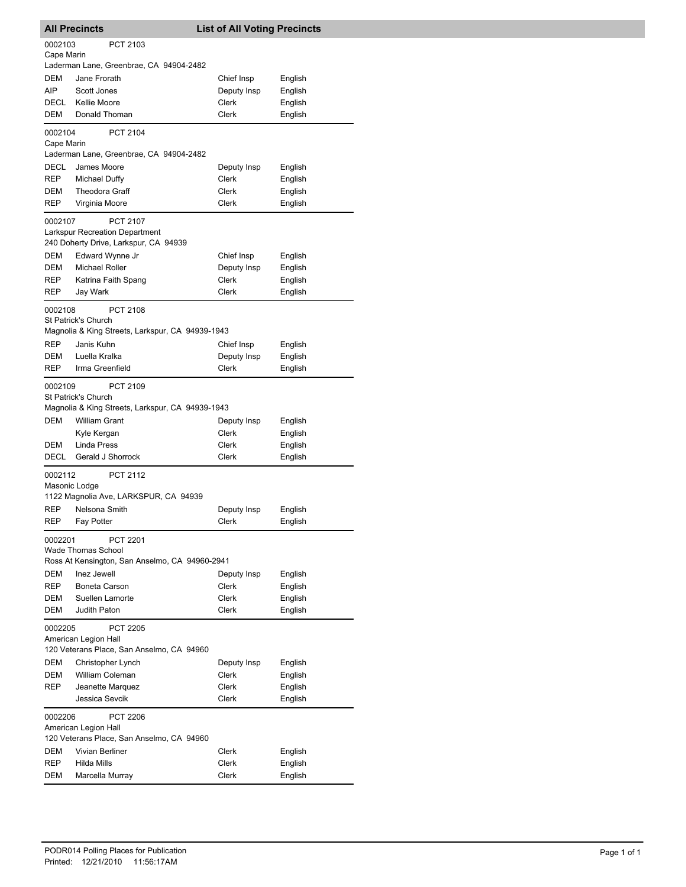|                          | <b>All Precincts</b>                                                                                        | <b>List of All Voting Precincts</b> |         |
|--------------------------|-------------------------------------------------------------------------------------------------------------|-------------------------------------|---------|
| 0002103<br>Cape Marin    | PCT 2103                                                                                                    |                                     |         |
|                          | Laderman Lane, Greenbrae, CA 94904-2482                                                                     |                                     |         |
| DEM                      | Jane Frorath                                                                                                | Chief Insp                          | English |
| AIP                      | Scott Jones                                                                                                 | Deputy Insp                         | English |
| DECL                     | Kellie Moore                                                                                                | Clerk                               | English |
| DEM                      | Donald Thoman                                                                                               | Clerk                               | English |
| 0002104<br>Cape Marin    | PCT 2104                                                                                                    |                                     |         |
|                          | Laderman Lane, Greenbrae, CA 94904-2482                                                                     |                                     |         |
| DECL                     | James Moore                                                                                                 | Deputy Insp                         | English |
| REP                      | Michael Duffy                                                                                               | Clerk                               | English |
| DEM                      | <b>Theodora Graff</b>                                                                                       | Clerk                               | English |
| REP                      | Virginia Moore                                                                                              | Clerk                               | English |
| 0002107                  | PCT 2107<br><b>Larkspur Recreation Department</b><br>240 Doherty Drive, Larkspur, CA 94939                  |                                     |         |
| DEM                      | Edward Wynne Jr                                                                                             | Chief Insp                          | English |
| DEM                      | <b>Michael Roller</b>                                                                                       | Deputy Insp                         | English |
| REP                      | Katrina Faith Spang                                                                                         | Clerk                               | English |
| REP                      | Jay Wark                                                                                                    | Clerk                               | English |
| 0002108                  | PCT 2108<br><b>St Patrick's Church</b><br>Magnolia & King Streets, Larkspur, CA 94939-1943                  |                                     |         |
| <b>REP</b>               | Janis Kuhn                                                                                                  | Chief Insp                          | English |
| DEM                      | Luella Kralka                                                                                               | Deputy Insp                         | English |
| REP                      | Irma Greenfield                                                                                             | Clerk                               | English |
| 0002109<br>DEM           | PCT 2109<br>St Patrick's Church<br>Magnolia & King Streets, Larkspur, CA 94939-1943<br><b>William Grant</b> | Deputy Insp                         | English |
|                          | Kyle Kergan                                                                                                 | Clerk                               | English |
| DEM                      | Linda Press                                                                                                 | Clerk                               | English |
| DECL                     | Gerald J Shorrock                                                                                           | Clerk                               | English |
| 0002112<br>Masonic Lodge | <b>PCT 2112</b><br>1122 Magnolia Ave, LARKSPUR, CA 94939                                                    |                                     |         |
| REP                      | Nelsona Smith                                                                                               | Deputy Insp                         | English |
| REP                      | Fay Potter                                                                                                  | Clerk                               | English |
| 0002201                  | PCT 2201<br>Wade Thomas School<br>Ross At Kensington, San Anselmo, CA 94960-2941                            |                                     |         |
| DEM                      | Inez Jewell                                                                                                 | Deputy Insp                         | English |
| REP                      | Boneta Carson                                                                                               | Clerk                               | English |
| DEM                      | Suellen Lamorte                                                                                             | Clerk                               | English |
| DEM                      | Judith Paton                                                                                                | <b>Clerk</b>                        | English |
| 0002205                  | PCT 2205<br>American Legion Hall<br>120 Veterans Place, San Anselmo, CA 94960                               |                                     |         |
| DEM                      | Christopher Lynch                                                                                           | Deputy Insp                         | English |
| DEM                      | William Coleman                                                                                             | Clerk                               | English |
| REP                      | Jeanette Marquez                                                                                            | Clerk                               | English |
|                          | Jessica Sevcik                                                                                              | Clerk                               | English |
| 0002206                  | <b>PCT 2206</b><br>American Legion Hall<br>120 Veterans Place, San Anselmo, CA 94960                        |                                     |         |
| DEM                      | Vivian Berliner                                                                                             | Clerk                               | English |
| REP                      | Hilda Mills                                                                                                 | Clerk                               | English |
| DEM                      | Marcella Murray                                                                                             | Clerk                               | English |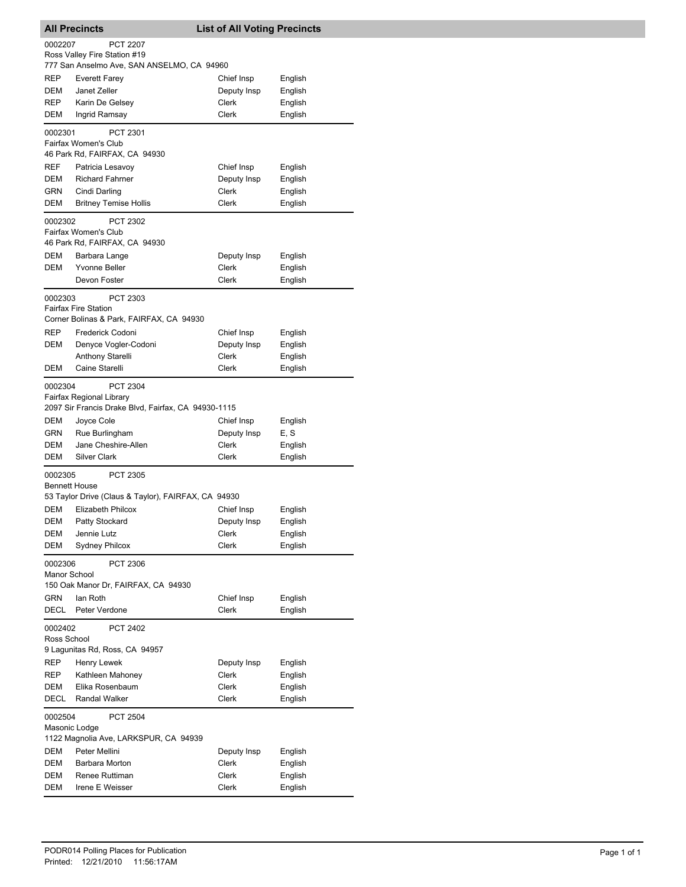| <b>All Precincts</b> |                                                                                                    | <b>List of All Voting Precincts</b> |                    |  |  |
|----------------------|----------------------------------------------------------------------------------------------------|-------------------------------------|--------------------|--|--|
|                      | 0002207<br><b>PCT 2207</b><br>Ross Valley Fire Station #19                                         |                                     |                    |  |  |
| <b>REP</b>           | 777 San Anselmo Ave, SAN ANSELMO, CA 94960<br>Everett Farey                                        | Chief Insp                          | English            |  |  |
| <b>DEM</b>           | Janet Zeller                                                                                       | Deputy Insp                         | English            |  |  |
| <b>REP</b>           | Karin De Gelsey                                                                                    | Clerk                               | English            |  |  |
| DEM                  | Ingrid Ramsay                                                                                      | Clerk                               | English            |  |  |
| 0002301              | PCT 2301<br>Fairfax Women's Club                                                                   |                                     |                    |  |  |
|                      | 46 Park Rd, FAIRFAX, CA 94930                                                                      |                                     |                    |  |  |
| REF                  | Patricia Lesavoy                                                                                   | Chief Insp                          | English            |  |  |
| DEM                  | <b>Richard Fahrner</b>                                                                             | Deputy Insp                         | English            |  |  |
| GRN<br>DEM           | Cindi Darling                                                                                      | Clerk<br>Clerk                      | English            |  |  |
|                      | <b>Britney Temise Hollis</b>                                                                       |                                     | English            |  |  |
| 0002302              | PCT 2302<br>Fairfax Women's Club<br>46 Park Rd, FAIRFAX, CA 94930                                  |                                     |                    |  |  |
| DEM                  | Barbara Lange                                                                                      | Deputy Insp                         | English            |  |  |
| DEM                  | <b>Yvonne Beller</b>                                                                               | Clerk                               | English            |  |  |
|                      | Devon Foster                                                                                       | Clerk                               | English            |  |  |
| 0002303              | PCT 2303<br><b>Fairfax Fire Station</b>                                                            |                                     |                    |  |  |
|                      | Corner Bolinas & Park, FAIRFAX, CA 94930                                                           |                                     |                    |  |  |
| <b>REP</b>           | Frederick Codoni                                                                                   | Chief Insp                          | English            |  |  |
| DEM                  | Denyce Vogler-Codoni                                                                               | Deputy Insp                         | English            |  |  |
|                      | <b>Anthony Starelli</b>                                                                            | Clerk                               | English            |  |  |
| DEM                  | Caine Starelli                                                                                     | Clerk                               | English            |  |  |
| 0002304              | <b>PCT 2304</b><br>Fairfax Regional Library<br>2097 Sir Francis Drake Blvd, Fairfax, CA 94930-1115 |                                     |                    |  |  |
| DEM                  | Joyce Cole                                                                                         | Chief Insp                          | English            |  |  |
| GRN                  | Rue Burlingham                                                                                     | Deputy Insp                         | E, S               |  |  |
| DEM                  | Jane Cheshire-Allen                                                                                | Clerk                               | English            |  |  |
| DEM                  | <b>Silver Clark</b>                                                                                | Clerk                               | English            |  |  |
| 0002305              | <b>PCT 2305</b><br><b>Bennett House</b>                                                            |                                     |                    |  |  |
| DEM                  | 53 Taylor Drive (Claus & Taylor), FAIRFAX, CA 94930<br><b>Elizabeth Philcox</b>                    |                                     |                    |  |  |
| DEM                  | Patty Stockard                                                                                     | Chief Insp<br>Deputy Insp           | English<br>English |  |  |
| DEM                  | Jennie Lutz                                                                                        | Clerk                               | English            |  |  |
| DEM                  | <b>Sydney Philcox</b>                                                                              | Clerk                               | English            |  |  |
| 0002306              | PCT 2306<br>Manor School                                                                           |                                     |                    |  |  |
|                      | 150 Oak Manor Dr, FAIRFAX, CA 94930                                                                |                                     |                    |  |  |
| GRN<br>DECL          | lan Roth<br>Peter Verdone                                                                          | Chief Insp<br>Clerk                 | English<br>English |  |  |
| 0002402              | <b>PCT 2402</b>                                                                                    |                                     |                    |  |  |
| Ross School          | 9 Lagunitas Rd, Ross, CA 94957                                                                     |                                     |                    |  |  |
| REP                  | Henry Lewek                                                                                        | Deputy Insp                         | English            |  |  |
| <b>REP</b>           | Kathleen Mahoney                                                                                   | Clerk                               | English            |  |  |
| DEM                  | Elika Rosenbaum                                                                                    | Clerk                               | English            |  |  |
| DECL                 | Randal Walker                                                                                      | Clerk                               | English            |  |  |
| 0002504              | <b>PCT 2504</b><br>Masonic Lodge                                                                   |                                     |                    |  |  |
|                      | 1122 Magnolia Ave, LARKSPUR, CA 94939                                                              |                                     |                    |  |  |
| DEM                  | Peter Mellini                                                                                      | Deputy Insp                         | English            |  |  |
| DEM                  | Barbara Morton                                                                                     | Clerk                               | English            |  |  |
| DEM                  | Renee Ruttiman                                                                                     | Clerk                               | English            |  |  |
| DEM                  | Irene E Weisser                                                                                    | Clerk                               | English            |  |  |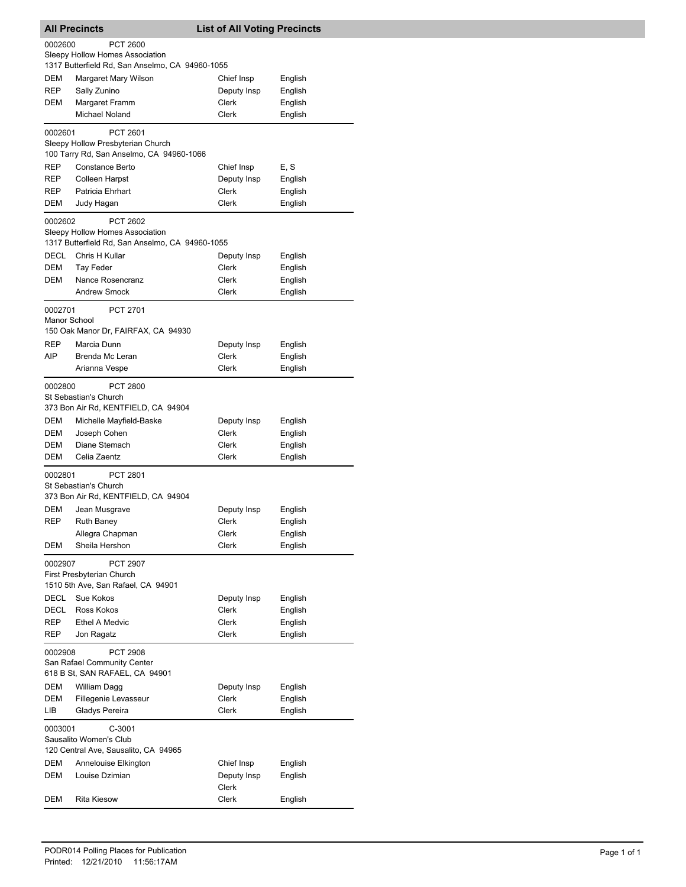|                            | <b>All Precincts</b>                                                                                           | <b>List of All Voting Precincts</b>         |                                          |
|----------------------------|----------------------------------------------------------------------------------------------------------------|---------------------------------------------|------------------------------------------|
| 0002600                    | <b>PCT 2600</b><br>Sleepy Hollow Homes Association<br>1317 Butterfield Rd, San Anselmo, CA 94960-1055          |                                             |                                          |
| DEM<br>REP<br>DEM          | Margaret Mary Wilson<br>Sally Zunino<br>Margaret Framm<br>Michael Noland                                       | Chief Insp<br>Deputy Insp<br>Clerk<br>Clerk | English<br>English<br>English<br>English |
| 0002601                    | PCT 2601<br>Sleepy Hollow Presbyterian Church<br>100 Tarry Rd, San Anselmo, CA 94960-1066                      |                                             |                                          |
| REP<br>REP<br>REP<br>DEM   | Constance Berto<br>Colleen Harpst<br>Patricia Ehrhart<br>Judy Hagan                                            | Chief Insp<br>Deputy Insp<br>Clerk<br>Clerk | E, S<br>English<br>English<br>English    |
| 0002602                    | <b>PCT 2602</b><br>Sleepy Hollow Homes Association<br>1317 Butterfield Rd, San Anselmo, CA 94960-1055          |                                             |                                          |
| DECL<br>DEM<br>DEM         | Chris H Kullar<br>Tay Feder<br>Nance Rosencranz<br><b>Andrew Smock</b>                                         | Deputy Insp<br>Clerk<br>Clerk<br>Clerk      | English<br>English<br>English<br>English |
| 0002701<br>Manor School    | PCT 2701<br>150 Oak Manor Dr, FAIRFAX, CA 94930                                                                |                                             |                                          |
| REP<br>AIP                 | Marcia Dunn<br>Brenda Mc Leran<br>Arianna Vespe                                                                | Deputy Insp<br>Clerk<br>Clerk               | English<br>English<br>English            |
| 0002800                    | <b>PCT 2800</b><br>St Sebastian's Church<br>373 Bon Air Rd, KENTFIELD, CA 94904                                |                                             |                                          |
| DEM<br>DEM<br>DEM          | Michelle Mayfield-Baske<br>Joseph Cohen<br>Diane Stemach                                                       | Deputy Insp<br>Clerk<br>Clerk               | English<br>English<br>English            |
| DEM<br>0002801             | Celia Zaentz<br><b>PCT 2801</b><br>St Sebastian's Church                                                       | Clerk                                       | English                                  |
| DEM<br>REP<br>DEM          | 373 Bon Air Rd, KENTFIELD, CA 94904<br>Jean Musgrave<br><b>Ruth Baney</b><br>Allegra Chapman<br>Sheila Hershon | Deputy Insp<br>Clerk<br>Clerk<br>Clerk      | English<br>English<br>English<br>English |
| 0002907                    | PCT 2907<br>First Presbyterian Church<br>1510 5th Ave, San Rafael, CA 94901                                    |                                             |                                          |
| DECL<br>DECL<br>REP<br>REP | Sue Kokos<br>Ross Kokos<br><b>Ethel A Medvic</b><br>Jon Ragatz                                                 | Deputy Insp<br>Clerk<br>Clerk<br>Clerk      | English<br>English<br>English<br>English |
| 0002908                    | PCT 2908<br>San Rafael Community Center<br>618 B St, SAN RAFAEL, CA 94901                                      |                                             |                                          |
| DEM<br>DEM<br>LІB          | William Dagg<br>Fillegenie Levasseur<br>Gladys Pereira                                                         | Deputy Insp<br>Clerk<br>Clerk               | English<br>English<br>English            |
| 0003001                    | $C-3001$<br>Sausalito Women's Club<br>120 Central Ave, Sausalito, CA 94965                                     |                                             |                                          |
| DEM<br>DEM                 | Annelouise Elkington<br>Louise Dzimian                                                                         | Chief Insp<br>Deputy Insp<br>Clerk          | English<br>English                       |
| DEM                        | <b>Rita Kiesow</b>                                                                                             | Clerk                                       | English                                  |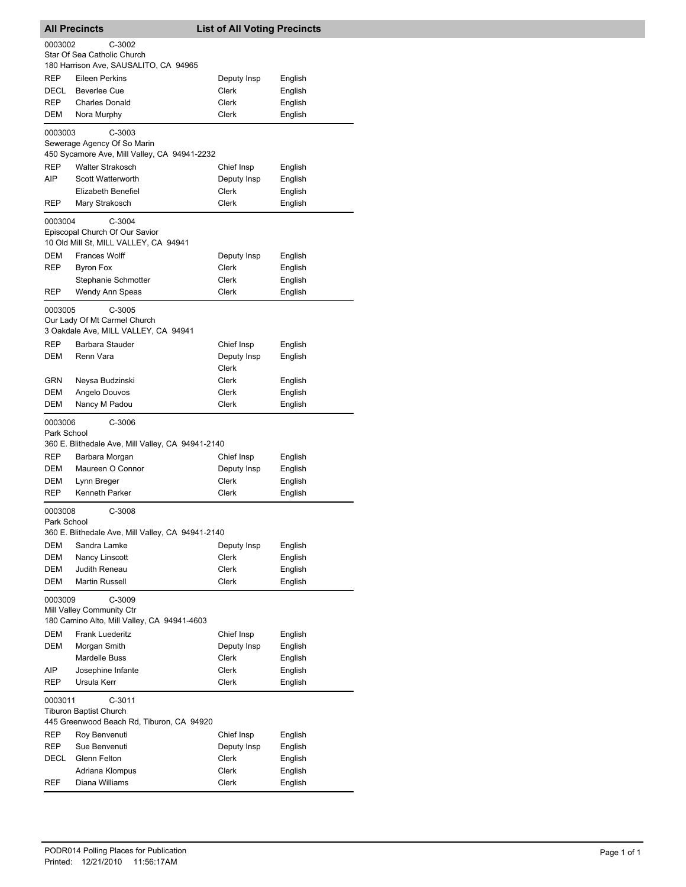| <b>All Precincts</b>   |                                                   | <b>List of All Voting Precincts</b> |                    |  |
|------------------------|---------------------------------------------------|-------------------------------------|--------------------|--|
| 0003002                | $C-3002$                                          |                                     |                    |  |
|                        | Star Of Sea Catholic Church                       |                                     |                    |  |
|                        | 180 Harrison Ave, SAUSALITO, CA 94965             |                                     |                    |  |
| REP<br>DECL            | Eileen Perkins<br><b>Beverlee Cue</b>             | Deputy Insp<br>Clerk                | English<br>English |  |
| <b>REP</b>             | <b>Charles Donald</b>                             | Clerk                               | English            |  |
| DEM                    | Nora Murphy                                       | <b>Clerk</b>                        | English            |  |
|                        |                                                   |                                     |                    |  |
| 0003003                | $C-3003$<br>Sewerage Agency Of So Marin           |                                     |                    |  |
|                        | 450 Sycamore Ave, Mill Valley, CA 94941-2232      |                                     |                    |  |
| <b>REP</b>             | <b>Walter Strakosch</b>                           | Chief Insp                          | English            |  |
| AIP                    | <b>Scott Watterworth</b>                          | Deputy Insp                         | English            |  |
|                        | Elizabeth Benefiel                                | Clerk                               | English            |  |
| REP                    | Mary Strakosch                                    | Clerk                               | English            |  |
| 0003004                | $C-3004$                                          |                                     |                    |  |
|                        | Episcopal Church Of Our Savior                    |                                     |                    |  |
|                        | 10 Old Mill St, MILL VALLEY, CA 94941             |                                     |                    |  |
| DEM                    | <b>Frances Wolff</b>                              | Deputy Insp                         | English            |  |
| REP                    | <b>Byron Fox</b>                                  | Clerk                               | English            |  |
|                        | Stephanie Schmotter                               | Clerk                               | English            |  |
| REP                    | Wendy Ann Speas                                   | Clerk                               | English            |  |
| 0003005                | $C-3005$                                          |                                     |                    |  |
|                        | Our Lady Of Mt Carmel Church                      |                                     |                    |  |
|                        | 3 Oakdale Ave, MILL VALLEY, CA 94941              |                                     |                    |  |
| REP                    | Barbara Stauder                                   | Chief Insp                          | English            |  |
| DEM                    | Renn Vara                                         | Deputy Insp<br>Clerk                | English            |  |
| GRN                    |                                                   | Clerk                               |                    |  |
| DEM                    | Neysa Budzinski<br>Angelo Douvos                  | Clerk                               | English<br>English |  |
| DEM                    | Nancy M Padou                                     | Clerk                               | English            |  |
|                        |                                                   |                                     |                    |  |
| 0003006<br>Park School | C-3006                                            |                                     |                    |  |
|                        | 360 E. Blithedale Ave, Mill Valley, CA 94941-2140 |                                     |                    |  |
| REP                    | Barbara Morgan                                    | Chief Insp                          | English            |  |
| DEM                    | Maureen O Connor                                  | Deputy Insp                         | English            |  |
| DEM                    | Lynn Breger                                       | Clerk                               | English            |  |
| REP                    | Kenneth Parker                                    | Clerk                               | English            |  |
| 0003008                | C-3008                                            |                                     |                    |  |
| Park School            |                                                   |                                     |                    |  |
|                        | 360 E. Blithedale Ave, Mill Valley, CA 94941-2140 |                                     |                    |  |
| <b>DEM</b>             | Sandra Lamke                                      | Deputy Insp                         | English            |  |
| DEM                    | Nancy Linscott                                    | Clerk                               | English            |  |
| DEM                    | Judith Reneau                                     | Clerk                               | English            |  |
| DEM                    | Martin Russell                                    | Clerk                               | English            |  |
| 0003009                | C-3009                                            |                                     |                    |  |
|                        | Mill Valley Community Ctr                         |                                     |                    |  |
|                        | 180 Camino Alto, Mill Valley, CA 94941-4603       |                                     |                    |  |
| DEM<br>DEM             | Frank Luederitz                                   | Chief Insp                          | English            |  |
|                        | Morgan Smith<br>Mardelle Buss                     | Deputy Insp<br>Clerk                | English<br>English |  |
| AIP                    | Josephine Infante                                 | <b>Clerk</b>                        | English            |  |
| REP                    | Ursula Kerr                                       | Clerk                               | English            |  |
|                        |                                                   |                                     |                    |  |
| 0003011                | C-3011<br><b>Tiburon Baptist Church</b>           |                                     |                    |  |
|                        | 445 Greenwood Beach Rd, Tiburon, CA 94920         |                                     |                    |  |
| REP                    | Roy Benvenuti                                     | Chief Insp                          | English            |  |
| REP                    | Sue Benvenuti                                     | Deputy Insp                         | English            |  |
| DECL                   | Glenn Felton                                      | Clerk                               | English            |  |
|                        | Adriana Klompus                                   | Clerk                               | English            |  |
| REF                    | Diana Williams                                    | Clerk                               | English            |  |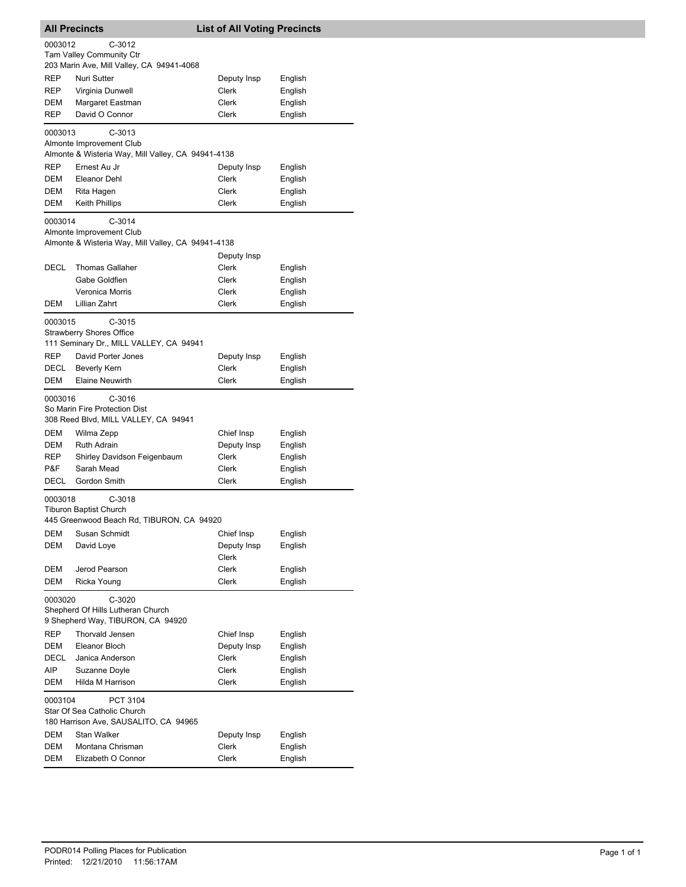|                   | <b>All Precincts</b>                                                                            | <b>List of All Voting Precincts</b> |                    |
|-------------------|-------------------------------------------------------------------------------------------------|-------------------------------------|--------------------|
| 0003012           | $C-3012$<br>Tam Valley Community Ctr<br>203 Marin Ave, Mill Valley, CA 94941-4068               |                                     |                    |
| REP               | Nuri Sutter                                                                                     | Deputy Insp                         | English            |
| REP               | Virginia Dunwell                                                                                | <b>Clerk</b>                        | English            |
| DEM               | Margaret Eastman                                                                                | Clerk                               | English            |
| REP               | David O Connor                                                                                  | Clerk                               | English            |
| 0003013           | $C-3013$<br>Almonte Improvement Club                                                            |                                     |                    |
| REP               | Almonte & Wisteria Way, Mill Valley, CA 94941-4138<br>Ernest Au Jr                              | Deputy Insp                         | English            |
| DEM               | Eleanor Dehl                                                                                    | <b>Clerk</b>                        | English            |
| DEM               | Rita Hagen                                                                                      | Clerk                               | English            |
| DEM               | <b>Keith Phillips</b>                                                                           | Clerk                               | English            |
| 0003014           | $C-3014$<br>Almonte Improvement Club<br>Almonte & Wisteria Way, Mill Valley, CA 94941-4138      |                                     |                    |
|                   |                                                                                                 | Deputy Insp                         |                    |
| DECL              | <b>Thomas Gallaher</b>                                                                          | Clerk                               | English            |
|                   | Gabe Goldfien                                                                                   | Clerk                               | English            |
|                   | Veronica Morris                                                                                 | Clerk                               | English            |
| DEM               | Lillian Zahrt                                                                                   | Clerk                               | English            |
| 0003015           | $C-3015$<br><b>Strawberry Shores Office</b><br>111 Seminary Dr., MILL VALLEY, CA 94941          |                                     |                    |
| REP               | David Porter Jones                                                                              | Deputy Insp                         | English            |
| DECL<br>DEM       | <b>Beverly Kern</b><br><b>Elaine Neuwirth</b>                                                   | Clerk<br>Clerk                      | English<br>English |
| 0003016<br>DEM    | $C-3016$<br>So Marin Fire Protection Dist<br>308 Reed Blvd, MILL VALLEY, CA 94941<br>Wilma Zepp | Chief Insp                          | English            |
| DEM               | <b>Ruth Adrain</b>                                                                              | Deputy Insp                         | English            |
| REP               | Shirley Davidson Feigenbaum                                                                     | Clerk                               | English            |
| P&F               | Sarah Mead                                                                                      | Clerk                               | English            |
| DECL              | Gordon Smith                                                                                    | Clerk                               | English            |
| 0003018           | $C-3018$<br>Tiburon Baptist Church<br>445 Greenwood Beach Rd, TIBURON, CA 94920                 |                                     |                    |
| DEM               | Susan Schmidt                                                                                   | Chief Insp                          | English            |
| DEM               | David Loye                                                                                      | Deputy Insp                         | English            |
|                   |                                                                                                 | Clerk                               |                    |
| DEM<br><b>DEM</b> | Jerod Pearson<br>Ricka Young                                                                    | Clerk<br>Clerk                      | English<br>English |
| 0003020           | C-3020<br>Shepherd Of Hills Lutheran Church<br>9 Shepherd Way, TIBURON, CA 94920                |                                     |                    |
| <b>REP</b>        | Thorvald Jensen                                                                                 | Chief Insp                          | English            |
| DEM               | Eleanor Bloch                                                                                   | Deputy Insp                         | English            |
| DECL              | Janica Anderson                                                                                 | Clerk                               | English            |
| AIP<br>DEM        | Suzanne Doyle<br>Hilda M Harrison                                                               | Clerk<br>Clerk                      | English<br>English |
| 0003104           | PCT 3104<br>Star Of Sea Catholic Church                                                         |                                     |                    |
|                   | 180 Harrison Ave, SAUSALITO, CA 94965                                                           |                                     |                    |
| DEM               | Stan Walker                                                                                     | Deputy Insp                         | English            |
| DEM               | Montana Chrisman                                                                                | Clerk                               | English            |
| DEM               | Elizabeth O Connor                                                                              | Clerk                               | English            |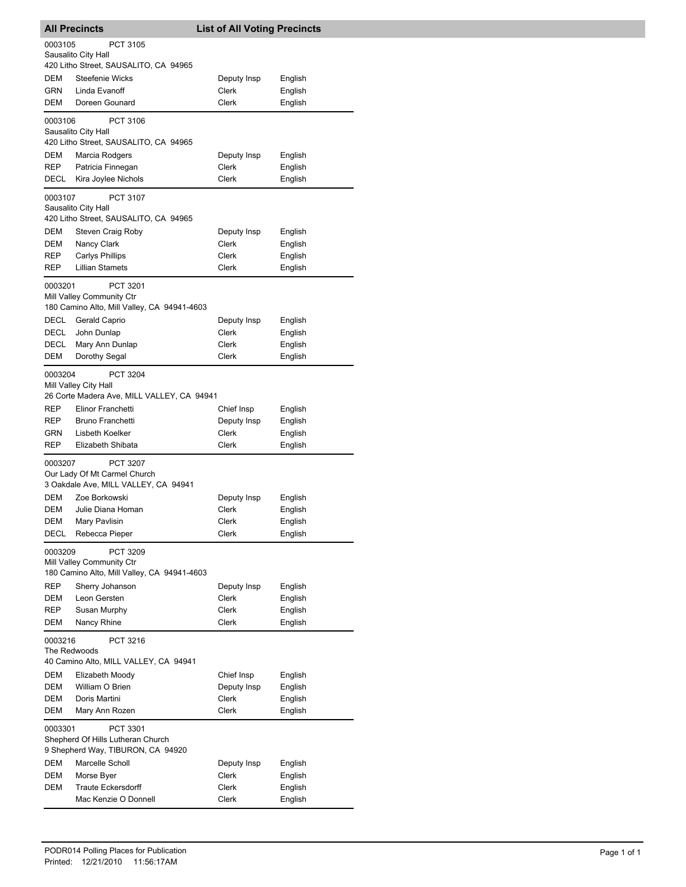| <b>All Precincts</b>                |                                                                                      | <b>List of All Voting Precincts</b> |                    |  |
|-------------------------------------|--------------------------------------------------------------------------------------|-------------------------------------|--------------------|--|
| 0003105                             | PCT 3105<br>Sausalito City Hall<br>420 Litho Street, SAUSALITO, CA 94965             |                                     |                    |  |
| DEM                                 | Steefenie Wicks                                                                      | Deputy Insp                         | English            |  |
| GRN                                 | Linda Evanoff                                                                        | Clerk                               | English            |  |
| DEM                                 | Doreen Gounard                                                                       | Clerk                               | English            |  |
| 0003106                             | PCT 3106<br>Sausalito City Hall<br>420 Litho Street, SAUSALITO, CA 94965             |                                     |                    |  |
| DEM                                 | Marcia Rodgers                                                                       | Deputy Insp                         | English            |  |
| <b>REP</b>                          | Patricia Finnegan                                                                    | Clerk                               | English            |  |
| DECL                                | Kira Joylee Nichols                                                                  | Clerk                               | English            |  |
| 0003107                             | PCT 3107<br>Sausalito City Hall<br>420 Litho Street, SAUSALITO, CA 94965             |                                     |                    |  |
| DEM                                 | Steven Craig Roby                                                                    | Deputy Insp                         | English            |  |
| DEM                                 | Nancy Clark                                                                          | Clerk                               | English            |  |
| REP<br><b>REP</b>                   | Carlys Phillips<br><b>Lillian Stamets</b>                                            | Clerk<br>Clerk                      | English<br>English |  |
| 0003201                             | PCT 3201<br>Mill Valley Community Ctr<br>180 Camino Alto, Mill Valley, CA 94941-4603 |                                     |                    |  |
| <b>DECL</b>                         | Gerald Caprio                                                                        | Deputy Insp                         | English            |  |
| DECL                                | John Dunlap                                                                          | Clerk                               | English            |  |
| DECL<br>DEM                         | Mary Ann Dunlap<br>Dorothy Segal                                                     | Clerk<br>Clerk                      | English<br>English |  |
| 0003204                             | PCT 3204<br>Mill Valley City Hall<br>26 Corte Madera Ave, MILL VALLEY, CA 94941      |                                     |                    |  |
| REP                                 | Elinor Franchetti                                                                    | Chief Insp                          | English            |  |
| REP                                 | Bruno Franchetti                                                                     | Deputy Insp                         | English            |  |
| GRN<br>REP                          | Lisbeth Koelker<br>Elizabeth Shibata                                                 | Clerk<br>Clerk                      | English<br>English |  |
| 0003207                             | PCT 3207<br>Our Lady Of Mt Carmel Church<br>3 Oakdale Ave, MILL VALLEY, CA 94941     |                                     |                    |  |
| <b>DEM</b>                          | Zoe Borkowski                                                                        | Deputy Insp                         | English            |  |
| <b>DEM</b><br>DEM                   | Julie Diana Homan<br>Mary Pavlisin                                                   | Clerk<br>Clerk                      | English<br>English |  |
| DECL                                | Rebecca Pieper                                                                       | Clerk                               | English            |  |
| 0003209                             | PCT 3209<br>Mill Valley Community Ctr<br>180 Camino Alto, Mill Valley, CA 94941-4603 |                                     |                    |  |
| REP                                 | Sherry Johanson                                                                      | Deputy Insp                         | English            |  |
| DEM                                 | Leon Gersten                                                                         | Clerk                               | English            |  |
| REP<br>DEM                          | Susan Murphy<br>Nancy Rhine                                                          | Clerk<br>Clerk                      | English<br>English |  |
| 0003216<br>PCT 3216<br>The Redwoods |                                                                                      |                                     |                    |  |
| DEM                                 | 40 Camino Alto, MILL VALLEY, CA 94941<br>Elizabeth Moody                             | Chief Insp                          | English            |  |
| DEM                                 | William O Brien                                                                      | Deputy Insp                         | English            |  |
| DEM                                 | Doris Martini                                                                        | Clerk                               | English            |  |
| DEM                                 | Mary Ann Rozen                                                                       | Clerk                               | English            |  |
| 0003301                             | PCT 3301<br>Shepherd Of Hills Lutheran Church<br>9 Shepherd Way, TIBURON, CA 94920   |                                     |                    |  |
| DEM                                 | Marcelle Scholl                                                                      | Deputy Insp                         | English            |  |
| DEM<br>DEM                          | Morse Byer<br><b>Traute Eckersdorff</b>                                              | Clerk<br>Clerk                      | English<br>English |  |
|                                     | Mac Kenzie O Donnell                                                                 | Clerk                               | English            |  |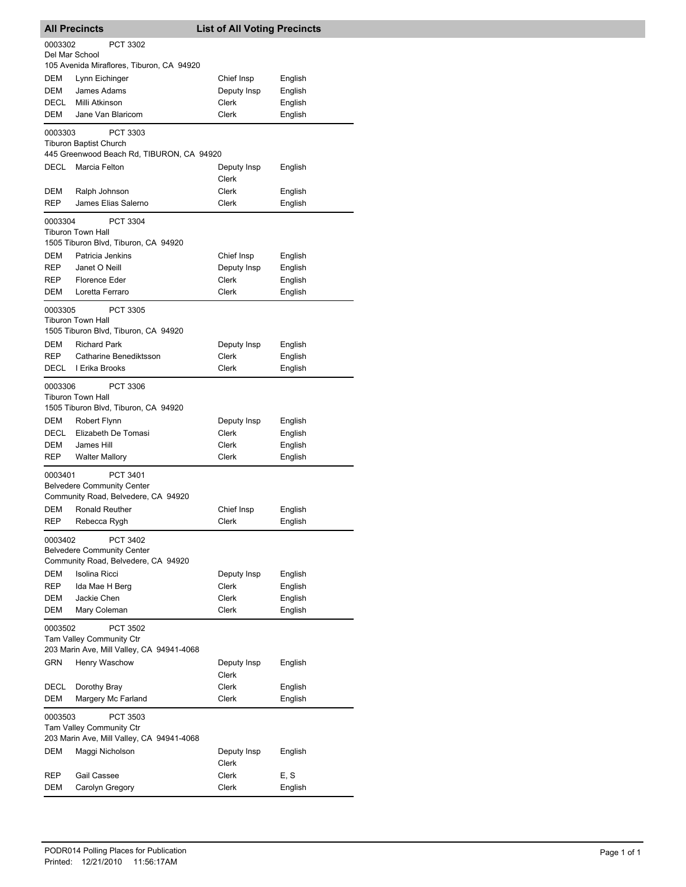| <b>All Precincts</b>                                                                                |                                                                                      | <b>List of All Voting Precincts</b> |                    |  |
|-----------------------------------------------------------------------------------------------------|--------------------------------------------------------------------------------------|-------------------------------------|--------------------|--|
| 0003302<br>Del Mar School                                                                           | <b>PCT 3302</b>                                                                      |                                     |                    |  |
|                                                                                                     | 105 Avenida Miraflores, Tiburon, CA 94920                                            |                                     |                    |  |
| DEM                                                                                                 | Lynn Eichinger                                                                       | Chief Insp                          | English            |  |
| <b>DEM</b>                                                                                          | James Adams                                                                          | Deputy Insp                         | English            |  |
| <b>DECL</b>                                                                                         | Milli Atkinson                                                                       | Clerk                               | English            |  |
| DEM                                                                                                 | Jane Van Blaricom                                                                    | Clerk                               | English            |  |
| 0003303                                                                                             | PCT 3303<br><b>Tiburon Baptist Church</b>                                            |                                     |                    |  |
|                                                                                                     | 445 Greenwood Beach Rd, TIBURON, CA 94920                                            |                                     |                    |  |
| DECL                                                                                                | Marcia Felton                                                                        | Deputy Insp<br>Clerk                | English            |  |
| DEM                                                                                                 | Ralph Johnson                                                                        | Clerk                               | English            |  |
| <b>REP</b>                                                                                          | James Elias Salerno                                                                  | Clerk                               | English            |  |
| 0003304                                                                                             | PCT 3304<br>Tiburon Town Hall<br>1505 Tiburon Blvd, Tiburon, CA 94920                |                                     |                    |  |
| <b>DEM</b>                                                                                          | Patricia Jenkins                                                                     | Chief Insp                          | English            |  |
| REP                                                                                                 | Janet O Neill                                                                        | Deputy Insp                         | English            |  |
| REP                                                                                                 | <b>Florence Eder</b>                                                                 | Clerk                               | English            |  |
| DEM                                                                                                 | Loretta Ferraro                                                                      | Clerk                               | English            |  |
| 0003305                                                                                             | <b>PCT 3305</b><br>Tiburon Town Hall<br>1505 Tiburon Blvd, Tiburon, CA 94920         |                                     |                    |  |
| DEM                                                                                                 | <b>Richard Park</b>                                                                  | Deputy Insp                         | English            |  |
| <b>REP</b>                                                                                          | Catharine Benediktsson                                                               | Clerk                               | English            |  |
| DECL                                                                                                | I Erika Brooks                                                                       | Clerk                               | English            |  |
| 0003306                                                                                             | <b>PCT 3306</b><br><b>Tiburon Town Hall</b><br>1505 Tiburon Blvd, Tiburon, CA 94920  |                                     |                    |  |
| DEM                                                                                                 | Robert Flynn                                                                         | Deputy Insp                         | English            |  |
| DECL                                                                                                | Elizabeth De Tomasi                                                                  | Clerk                               | English            |  |
| DEM<br><b>REP</b>                                                                                   | James Hill<br><b>Walter Mallory</b>                                                  | Clerk<br>Clerk                      | English<br>English |  |
|                                                                                                     |                                                                                      |                                     |                    |  |
| 0003401                                                                                             | PCT 3401<br><b>Belvedere Community Center</b>                                        |                                     |                    |  |
|                                                                                                     | Community Road, Belvedere, CA 94920                                                  |                                     |                    |  |
| DEM                                                                                                 | Ronald Reuther                                                                       | Chief Insp                          | English            |  |
| REP                                                                                                 | Rebecca Rygh                                                                         | Clerk                               | English            |  |
| 0003402                                                                                             | PCT 3402<br><b>Belvedere Community Center</b><br>Community Road, Belvedere, CA 94920 |                                     |                    |  |
| <b>DEM</b>                                                                                          | Isolina Ricci                                                                        | Deputy Insp                         | English            |  |
| REP                                                                                                 | Ida Mae H Berg                                                                       | Clerk                               | English            |  |
| DEM                                                                                                 | Jackie Chen                                                                          | Clerk                               | English            |  |
| DEM                                                                                                 | Mary Coleman                                                                         | Clerk                               | English            |  |
| 0003502<br>PCT 3502<br><b>Tam Valley Community Ctr</b><br>203 Marin Ave, Mill Valley, CA 94941-4068 |                                                                                      |                                     |                    |  |
| <b>GRN</b>                                                                                          | Henry Waschow                                                                        | Deputy Insp<br>Clerk                | English            |  |
| DECL                                                                                                | Dorothy Bray                                                                         | Clerk                               | English            |  |
| DEM                                                                                                 | Margery Mc Farland                                                                   | Clerk                               | English            |  |
| 0003503                                                                                             | PCT 3503<br><b>Tam Valley Community Ctr</b>                                          |                                     |                    |  |
|                                                                                                     | 203 Marin Ave, Mill Valley, CA 94941-4068                                            |                                     |                    |  |
| DEM                                                                                                 | Maggi Nicholson                                                                      | Deputy Insp<br>Clerk                | English            |  |
| REP                                                                                                 | <b>Gail Cassee</b>                                                                   | Clerk                               | E, S               |  |
| DEM                                                                                                 | Carolyn Gregory                                                                      | Clerk                               | English            |  |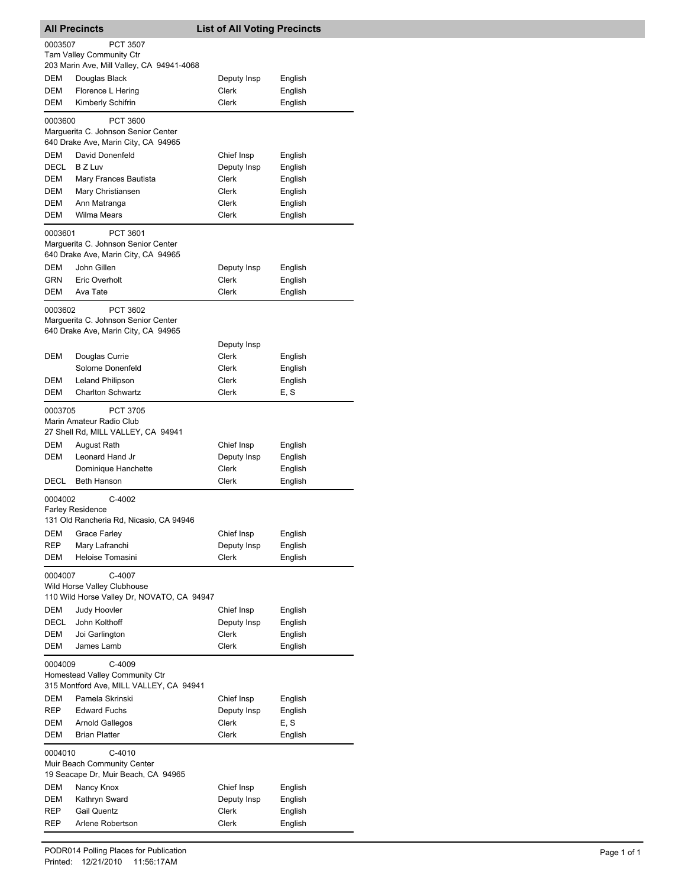|                                                                                           | <b>All Precincts</b>                                                                   | <b>List of All Voting Precincts</b> |                    |
|-------------------------------------------------------------------------------------------|----------------------------------------------------------------------------------------|-------------------------------------|--------------------|
| 0003507                                                                                   | <b>PCT 3507</b><br>Tam Valley Community Ctr                                            |                                     |                    |
|                                                                                           | 203 Marin Ave, Mill Valley, CA 94941-4068                                              |                                     |                    |
| DEM<br><b>DEM</b>                                                                         | Douglas Black                                                                          | Deputy Insp<br>Clerk                | English            |
| DEM                                                                                       | Florence L Hering<br>Kimberly Schifrin                                                 | <b>Clerk</b>                        | English<br>English |
|                                                                                           |                                                                                        |                                     |                    |
| 0003600                                                                                   | PCT 3600<br>Marguerita C. Johnson Senior Center<br>640 Drake Ave, Marin City, CA 94965 |                                     |                    |
| DEM                                                                                       | David Donenfeld                                                                        | Chief Insp                          | English            |
| DECL                                                                                      | <b>BZ Luv</b>                                                                          | Deputy Insp                         | English            |
| DEM                                                                                       | Mary Frances Bautista                                                                  | Clerk                               | English            |
| DEM                                                                                       | Mary Christiansen                                                                      | Clerk                               | English            |
| <b>DEM</b>                                                                                | Ann Matranga                                                                           | Clerk                               | English            |
| DEM                                                                                       | <b>Wilma Mears</b>                                                                     | Clerk                               | English            |
| 0003601                                                                                   | PCT 3601<br>Marguerita C. Johnson Senior Center<br>640 Drake Ave, Marin City, CA 94965 |                                     |                    |
| DEM                                                                                       | John Gillen                                                                            | Deputy Insp                         | English            |
| GRN                                                                                       | Eric Overholt                                                                          | Clerk                               | English            |
| DEM                                                                                       | Ava Tate                                                                               | Clerk                               | English            |
| 0003602                                                                                   | PCT 3602<br>Marguerita C. Johnson Senior Center<br>640 Drake Ave, Marin City, CA 94965 |                                     |                    |
|                                                                                           |                                                                                        | Deputy Insp                         |                    |
| DEM                                                                                       | Douglas Currie                                                                         | Clerk                               | English            |
|                                                                                           | Solome Donenfeld                                                                       | Clerk                               | English            |
| DEM                                                                                       | <b>Leland Philipson</b>                                                                | Clerk                               | English            |
| DEM                                                                                       | <b>Charlton Schwartz</b>                                                               | Clerk                               | E, S               |
| 0003705                                                                                   | <b>PCT 3705</b><br>Marin Amateur Radio Club<br>27 Shell Rd, MILL VALLEY, CA 94941      |                                     |                    |
| DEM                                                                                       | August Rath                                                                            | Chief Insp                          | English            |
| DEM                                                                                       | Leonard Hand Jr                                                                        | Deputy Insp                         | English            |
|                                                                                           | Dominique Hanchette                                                                    | <b>Clerk</b>                        | English            |
| DECL                                                                                      | <b>Beth Hanson</b>                                                                     | Clerk                               | English            |
| 0004002                                                                                   | C-4002<br><b>Farley Residence</b><br>131 Old Rancheria Rd, Nicasio, CA 94946           |                                     |                    |
| DEM                                                                                       | Grace Farley                                                                           | Chief Insp                          | English            |
| <b>REP</b>                                                                                | Mary Lafranchi                                                                         | Deputy Insp                         | English            |
| DEM                                                                                       | Heloise Tomasini                                                                       | Clerk                               | English            |
| 0004007                                                                                   | C-4007<br>Wild Horse Valley Clubhouse<br>110 Wild Horse Valley Dr, NOVATO, CA 94947    |                                     |                    |
| DEM                                                                                       | Judy Hoovler                                                                           | Chief Insp                          | English            |
| DECL                                                                                      | John Kolthoff                                                                          | Deputy Insp                         | English            |
| DEM                                                                                       | Joi Garlington                                                                         | Clerk                               | English            |
| DEM                                                                                       | James Lamb                                                                             | Clerk                               | English            |
| 0004009                                                                                   | C-4009<br>Homestead Valley Community Ctr<br>315 Montford Ave, MILL VALLEY, CA 94941    |                                     |                    |
| DEM                                                                                       | Pamela Skrinski                                                                        | Chief Insp                          | English            |
| REP                                                                                       | <b>Edward Fuchs</b>                                                                    | Deputy Insp                         | English            |
| DEM                                                                                       | Arnold Gallegos                                                                        | Clerk                               | E, S               |
| DEM                                                                                       | <b>Brian Platter</b>                                                                   | Clerk                               | English            |
| 0004010<br>$C-4010$<br>Muir Beach Community Center<br>19 Seacape Dr, Muir Beach, CA 94965 |                                                                                        |                                     |                    |
| DEM                                                                                       | Nancy Knox                                                                             | Chief Insp                          | English            |
| DEM                                                                                       | Kathryn Sward                                                                          | Deputy Insp                         | English            |
| REP                                                                                       | <b>Gail Quentz</b>                                                                     | Clerk                               | English            |
| REP                                                                                       | Arlene Robertson                                                                       | Clerk                               | English            |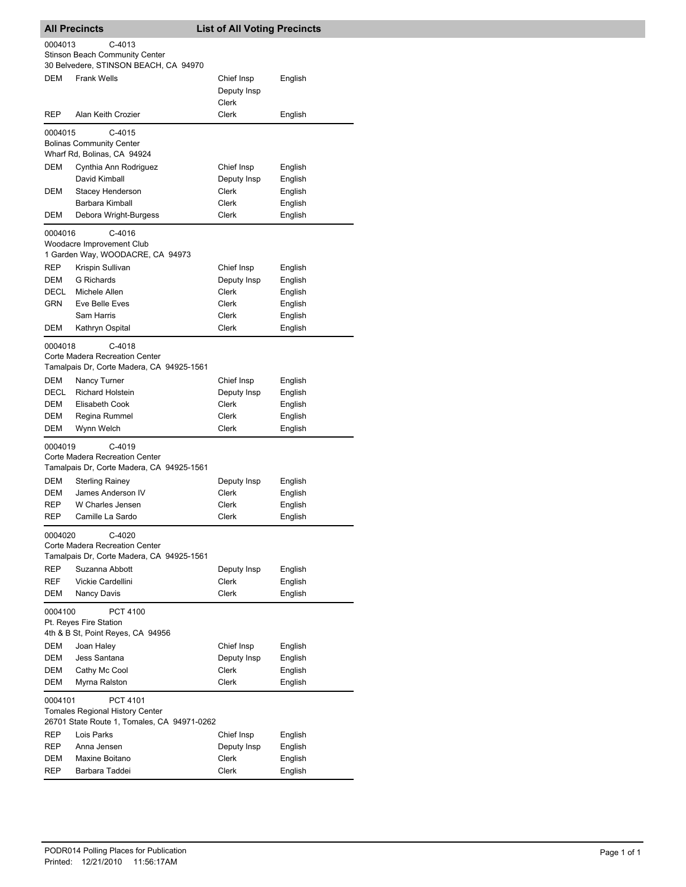| <b>All Precincts</b>                                                                                         |                                                                                          | <b>List of All Voting Precincts</b> |                    |  |
|--------------------------------------------------------------------------------------------------------------|------------------------------------------------------------------------------------------|-------------------------------------|--------------------|--|
| 0004013                                                                                                      | C-4013<br><b>Stinson Beach Community Center</b><br>30 Belvedere, STINSON BEACH, CA 94970 |                                     |                    |  |
| <b>DEM</b>                                                                                                   | <b>Frank Wells</b>                                                                       | Chief Insp<br>Deputy Insp<br>Clerk  | English            |  |
| REP                                                                                                          | Alan Keith Crozier                                                                       | Clerk                               | English            |  |
| 0004015                                                                                                      | $C-4015$<br><b>Bolinas Community Center</b><br>Wharf Rd, Bolinas, CA 94924               |                                     |                    |  |
| DEM                                                                                                          | Cynthia Ann Rodriguez                                                                    | Chief Insp                          | English            |  |
| DEM                                                                                                          | David Kimball<br>Stacey Henderson                                                        | Deputy Insp<br>Clerk                | English<br>English |  |
|                                                                                                              | Barbara Kimball                                                                          | Clerk                               | English            |  |
| DEM                                                                                                          | Debora Wright-Burgess                                                                    | Clerk                               | English            |  |
| 0004016                                                                                                      | C-4016<br>Woodacre Improvement Club<br>1 Garden Way, WOODACRE, CA 94973                  |                                     |                    |  |
| <b>REP</b>                                                                                                   | Krispin Sullivan                                                                         | Chief Insp                          | English            |  |
| DEM                                                                                                          | <b>G</b> Richards                                                                        | Deputy Insp                         | English            |  |
| DECL<br>GRN                                                                                                  | Michele Allen<br>Eve Belle Eves                                                          | Clerk<br>Clerk                      | English<br>English |  |
|                                                                                                              | Sam Harris                                                                               | Clerk                               | English            |  |
| <b>DEM</b>                                                                                                   | Kathryn Ospital                                                                          | Clerk                               | English            |  |
| 0004018                                                                                                      | $C-4018$<br>Corte Madera Recreation Center<br>Tamalpais Dr, Corte Madera, CA 94925-1561  |                                     |                    |  |
| DEM<br>DECL                                                                                                  | Nancy Turner<br><b>Richard Holstein</b>                                                  | Chief Insp<br>Deputy Insp           | English<br>English |  |
| DEM                                                                                                          | Elisabeth Cook                                                                           | Clerk                               | English            |  |
| DEM                                                                                                          | Regina Rummel                                                                            | Clerk                               | English            |  |
| DEM                                                                                                          | Wynn Welch                                                                               | Clerk                               | English            |  |
| 0004019                                                                                                      | C-4019<br>Corte Madera Recreation Center                                                 |                                     |                    |  |
| DEM                                                                                                          | Tamalpais Dr, Corte Madera, CA 94925-1561<br><b>Sterling Rainey</b>                      | Deputy Insp                         | English            |  |
| <b>DEM</b>                                                                                                   | James Anderson IV                                                                        | Clerk                               | English            |  |
| REP                                                                                                          | W Charles Jensen                                                                         | Clerk                               | English            |  |
| REP                                                                                                          | Camille La Sardo                                                                         | Clerk                               | English            |  |
| 0004020                                                                                                      | C-4020<br>Corte Madera Recreation Center<br>Tamalpais Dr, Corte Madera, CA 94925-1561    |                                     |                    |  |
| <b>REP</b>                                                                                                   | Suzanna Abbott                                                                           | Deputy Insp                         | English            |  |
| REF<br>DEM                                                                                                   | Vickie Cardellini                                                                        | Clerk<br>Clerk                      | English            |  |
| Nancy Davis<br>English<br>0004100<br>PCT 4100<br>Pt. Reyes Fire Station                                      |                                                                                          |                                     |                    |  |
|                                                                                                              | 4th & B St, Point Reyes, CA 94956                                                        |                                     |                    |  |
| DEM<br>DEM                                                                                                   | Joan Haley<br>Jess Santana                                                               | Chief Insp<br>Deputy Insp           | English<br>English |  |
| DEM                                                                                                          | Cathy Mc Cool                                                                            | Clerk                               | English            |  |
| DEM                                                                                                          | Myrna Ralston                                                                            | Clerk                               | English            |  |
| 0004101<br>PCT 4101<br><b>Tomales Regional History Center</b><br>26701 State Route 1, Tomales, CA 94971-0262 |                                                                                          |                                     |                    |  |
| REP                                                                                                          | Lois Parks                                                                               | Chief Insp                          | English            |  |
| REP                                                                                                          | Anna Jensen                                                                              | Deputy Insp                         | English            |  |
| DEM                                                                                                          | Maxine Boitano                                                                           | Clerk                               | English            |  |
| REP                                                                                                          | Barbara Taddei                                                                           | Clerk                               | English            |  |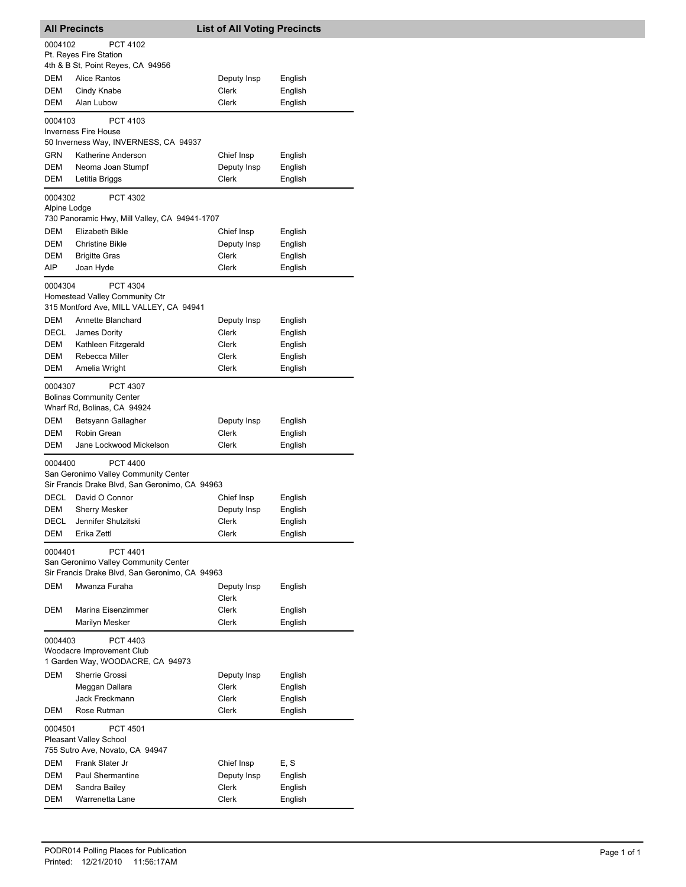|                                                               | <b>All Precincts</b>                                                      | <b>List of All Voting Precincts</b> |                    |  |  |
|---------------------------------------------------------------|---------------------------------------------------------------------------|-------------------------------------|--------------------|--|--|
| 0004102                                                       | PCT 4102                                                                  |                                     |                    |  |  |
|                                                               | Pt. Reyes Fire Station<br>4th & B St, Point Reyes, CA 94956               |                                     |                    |  |  |
| DEM                                                           | Alice Rantos                                                              | Deputy Insp                         | English            |  |  |
| DEM                                                           | Cindy Knabe                                                               | Clerk                               | English            |  |  |
| DEM                                                           | Alan Lubow                                                                | Clerk                               | English            |  |  |
| 0004103                                                       | PCT 4103                                                                  |                                     |                    |  |  |
|                                                               | <b>Inverness Fire House</b>                                               |                                     |                    |  |  |
|                                                               | 50 Inverness Way, INVERNESS, CA 94937                                     |                                     |                    |  |  |
| GRN<br><b>DEM</b>                                             | Katherine Anderson                                                        | Chief Insp<br>Deputy Insp           | English            |  |  |
| DEM                                                           | Neoma Joan Stumpf<br>Letitia Briggs                                       | Clerk                               | English<br>English |  |  |
|                                                               |                                                                           |                                     |                    |  |  |
| 0004302<br>Alpine Lodge                                       | PCT 4302                                                                  |                                     |                    |  |  |
|                                                               | 730 Panoramic Hwy, Mill Valley, CA 94941-1707                             |                                     |                    |  |  |
| DEM                                                           | Elizabeth Bikle                                                           | Chief Insp                          | English            |  |  |
| DEM                                                           | Christine Bikle                                                           | Deputy Insp                         | English            |  |  |
| DEM                                                           | <b>Brigitte Gras</b>                                                      | Clerk                               | English            |  |  |
| AIP                                                           | Joan Hyde                                                                 | Clerk                               | English            |  |  |
| 0004304                                                       | PCT 4304                                                                  |                                     |                    |  |  |
|                                                               | Homestead Valley Community Ctr<br>315 Montford Ave, MILL VALLEY, CA 94941 |                                     |                    |  |  |
| <b>DEM</b>                                                    | Annette Blanchard                                                         | Deputy Insp                         | English            |  |  |
| DECL                                                          | James Dority                                                              | Clerk                               | English            |  |  |
| DEM                                                           | Kathleen Fitzgerald                                                       | Clerk                               | English            |  |  |
| DEM                                                           | Rebecca Miller                                                            | Clerk                               | English            |  |  |
| DEM                                                           | Amelia Wright                                                             | Clerk                               | English            |  |  |
| 0004307                                                       | PCT 4307                                                                  |                                     |                    |  |  |
|                                                               | <b>Bolinas Community Center</b>                                           |                                     |                    |  |  |
|                                                               | Wharf Rd, Bolinas, CA 94924                                               |                                     |                    |  |  |
| DEM<br>DEM                                                    | Betsyann Gallagher<br>Robin Grean                                         | Deputy Insp<br>Clerk                | English<br>English |  |  |
| DEM                                                           | Jane Lockwood Mickelson                                                   | Clerk                               | English            |  |  |
|                                                               | PCT 4400<br>0004400                                                       |                                     |                    |  |  |
|                                                               | San Geronimo Valley Community Center                                      |                                     |                    |  |  |
|                                                               | Sir Francis Drake Blvd, San Geronimo, CA 94963                            |                                     |                    |  |  |
| DECL                                                          | David O Connor                                                            | Chief Insp                          | English            |  |  |
| DEM                                                           | <b>Sherry Mesker</b>                                                      | Deputy Insp                         | English            |  |  |
| DECL<br>DEM                                                   | Jennifer Shulzitski<br>Erika Zettl                                        | Clerk<br>Clerk                      | English<br>English |  |  |
|                                                               |                                                                           |                                     |                    |  |  |
| 0004401                                                       | PCT 4401<br>San Geronimo Valley Community Center                          |                                     |                    |  |  |
|                                                               | Sir Francis Drake Blvd, San Geronimo, CA 94963                            |                                     |                    |  |  |
| <b>DEM</b>                                                    | Mwanza Furaha                                                             | Deputy Insp                         | English            |  |  |
|                                                               |                                                                           | Clerk                               |                    |  |  |
| DEM                                                           | Marina Eisenzimmer                                                        | Clerk                               | English            |  |  |
|                                                               | Marilyn Mesker                                                            | Clerk                               | English            |  |  |
| 0004403                                                       | PCT 4403                                                                  |                                     |                    |  |  |
| Woodacre Improvement Club<br>1 Garden Way, WOODACRE, CA 94973 |                                                                           |                                     |                    |  |  |
| DEM                                                           | Sherrie Grossi                                                            | Deputy Insp                         | English            |  |  |
|                                                               | Meggan Dallara                                                            | Clerk                               | English            |  |  |
|                                                               | Jack Freckmann                                                            | Clerk                               | English            |  |  |
| DEM                                                           | Rose Rutman                                                               | Clerk                               | English            |  |  |
| 0004501                                                       | PCT 4501                                                                  |                                     |                    |  |  |
| Pleasant Valley School                                        |                                                                           |                                     |                    |  |  |
|                                                               | 755 Sutro Ave, Novato, CA 94947                                           |                                     |                    |  |  |
| DEM<br>DEM                                                    | Frank Slater Jr<br><b>Paul Shermantine</b>                                | Chief Insp                          | E, S               |  |  |
| DEM                                                           | Sandra Bailey                                                             | Deputy Insp<br>Clerk                | English<br>English |  |  |
| DEM                                                           | Warrenetta Lane                                                           | Clerk                               | English            |  |  |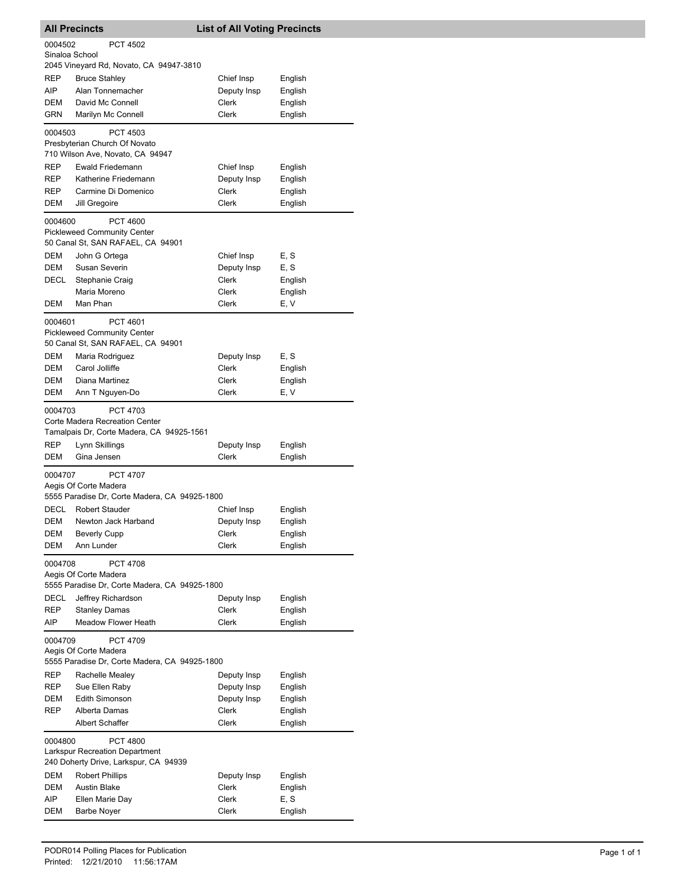|                                                                                               | <b>All Precincts</b>                                                                           | <b>List of All Voting Precincts</b> |         |  |
|-----------------------------------------------------------------------------------------------|------------------------------------------------------------------------------------------------|-------------------------------------|---------|--|
| 0004502<br><b>PCT 4502</b><br>Sinaloa School                                                  |                                                                                                |                                     |         |  |
|                                                                                               | 2045 Vineyard Rd, Novato, CA 94947-3810                                                        |                                     |         |  |
| REP                                                                                           | <b>Bruce Stahley</b>                                                                           | Chief Insp                          | English |  |
| AIP.                                                                                          | Alan Tonnemacher                                                                               | Deputy Insp                         | English |  |
| DEM                                                                                           | David Mc Connell                                                                               | Clerk                               | English |  |
| <b>GRN</b>                                                                                    | Marilyn Mc Connell                                                                             | Clerk                               | English |  |
| 0004503                                                                                       | PCT 4503<br>Presbyterian Church Of Novato<br>710 Wilson Ave, Novato, CA 94947                  |                                     |         |  |
| REP                                                                                           | Ewald Friedemann                                                                               | Chief Insp                          | English |  |
| REP                                                                                           | Katherine Friedemann                                                                           | Deputy Insp                         | English |  |
| REP                                                                                           | Carmine Di Domenico                                                                            | Clerk                               | English |  |
| DEM                                                                                           | Jill Gregoire                                                                                  | Clerk                               | English |  |
| 0004600                                                                                       | PCT 4600<br><b>Pickleweed Community Center</b><br>50 Canal St, SAN RAFAEL, CA 94901            |                                     |         |  |
| <b>DEM</b>                                                                                    | John G Ortega                                                                                  | Chief Insp                          | E, S    |  |
| DEM                                                                                           | Susan Severin                                                                                  | Deputy Insp                         | E, S    |  |
| DECL                                                                                          | Stephanie Craig                                                                                | Clerk                               | English |  |
|                                                                                               | Maria Moreno                                                                                   | Clerk                               | English |  |
| DEM                                                                                           | Man Phan                                                                                       | Clerk                               | E, V    |  |
| 0004601                                                                                       | PCT 4601<br><b>Pickleweed Community Center</b><br>50 Canal St, SAN RAFAEL, CA 94901            |                                     |         |  |
| DEM                                                                                           | Maria Rodriguez                                                                                | Deputy Insp                         | E, S    |  |
| DEM                                                                                           | Carol Jolliffe                                                                                 | Clerk                               | English |  |
| <b>DEM</b>                                                                                    | Diana Martinez                                                                                 | Clerk                               | English |  |
| DEM                                                                                           | Ann T Nguyen-Do                                                                                | Clerk                               | E, V    |  |
| 0004703                                                                                       | <b>PCT 4703</b><br>Corte Madera Recreation Center<br>Tamalpais Dr, Corte Madera, CA 94925-1561 |                                     |         |  |
| REP                                                                                           | Lynn Skillings                                                                                 | Deputy Insp                         | English |  |
| DEM                                                                                           | Gina Jensen                                                                                    | Clerk                               | English |  |
| 0004707                                                                                       | <b>PCT 4707</b><br>Aegis Of Corte Madera<br>5555 Paradise Dr, Corte Madera, CA 94925-1800      |                                     |         |  |
| <b>DECL</b>                                                                                   | <b>Robert Stauder</b>                                                                          | Chief Insp                          | English |  |
| DEM                                                                                           | Newton Jack Harband                                                                            | Deputy Insp                         | English |  |
| DEM                                                                                           | <b>Beverly Cupp</b>                                                                            | Clerk                               | English |  |
| DEM                                                                                           | Ann Lunder                                                                                     | Clerk                               | English |  |
| 0004708                                                                                       | <b>PCT 4708</b><br>Aegis Of Corte Madera                                                       |                                     |         |  |
|                                                                                               | 5555 Paradise Dr, Corte Madera, CA 94925-1800                                                  |                                     |         |  |
| DECL                                                                                          | Jeffrey Richardson                                                                             | Deputy Insp                         | English |  |
| REP                                                                                           | <b>Stanley Damas</b>                                                                           | Clerk                               | English |  |
| AIP                                                                                           | <b>Meadow Flower Heath</b>                                                                     | Clerk                               | English |  |
| 0004709<br>PCT 4709<br>Aegis Of Corte Madera<br>5555 Paradise Dr, Corte Madera, CA 94925-1800 |                                                                                                |                                     |         |  |
| REP                                                                                           | Rachelle Mealey                                                                                | Deputy Insp                         | English |  |
| REP                                                                                           | Sue Ellen Raby                                                                                 | Deputy Insp                         | English |  |
| <b>DEM</b>                                                                                    | Edith Simonson                                                                                 | Deputy Insp                         | English |  |
| REP                                                                                           | Alberta Damas                                                                                  | Clerk                               | English |  |
|                                                                                               | <b>Albert Schaffer</b>                                                                         | Clerk                               | English |  |
| 0004800                                                                                       | <b>PCT 4800</b><br>Larkspur Recreation Department<br>240 Doherty Drive, Larkspur, CA 94939     |                                     |         |  |
| DEM                                                                                           | <b>Robert Phillips</b>                                                                         | Deputy Insp                         | English |  |
| DEM                                                                                           | <b>Austin Blake</b>                                                                            | Clerk                               | English |  |
| AIP                                                                                           | Ellen Marie Day                                                                                | Clerk                               | E, S    |  |
| DEM                                                                                           | <b>Barbe Noyer</b>                                                                             | Clerk                               | English |  |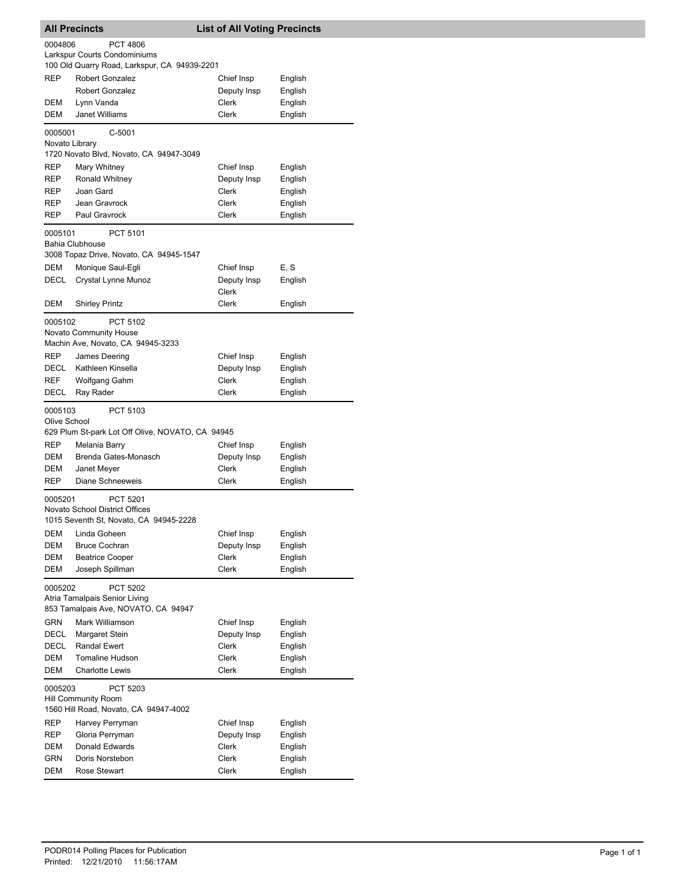| <b>All Precincts</b>                                                                        |                                                                               | <b>List of All Voting Precincts</b> |         |  |
|---------------------------------------------------------------------------------------------|-------------------------------------------------------------------------------|-------------------------------------|---------|--|
| 0004806<br><b>PCT 4806</b><br>Larkspur Courts Condominiums                                  |                                                                               |                                     |         |  |
|                                                                                             | 100 Old Quarry Road, Larkspur, CA 94939-2201                                  |                                     |         |  |
| <b>REP</b>                                                                                  | Robert Gonzalez                                                               | Chief Insp                          | English |  |
|                                                                                             | <b>Robert Gonzalez</b>                                                        | Deputy Insp                         | English |  |
| DEM                                                                                         | Lynn Vanda                                                                    | Clerk                               | English |  |
| DEM                                                                                         | <b>Janet Williams</b>                                                         | Clerk                               | English |  |
| 0005001                                                                                     | C-5001<br>Novato Library                                                      |                                     |         |  |
|                                                                                             | 1720 Novato Blvd, Novato, CA 94947-3049                                       |                                     |         |  |
| REP                                                                                         | Mary Whitney                                                                  | Chief Insp                          | English |  |
| <b>REP</b>                                                                                  | Ronald Whitney                                                                | Deputy Insp                         | English |  |
| REP                                                                                         | Joan Gard                                                                     | Clerk                               | English |  |
| <b>REP</b>                                                                                  | Jean Gravrock                                                                 | Clerk                               | English |  |
| REP                                                                                         | Paul Gravrock                                                                 | Clerk                               | English |  |
| 0005101                                                                                     | PCT 5101<br><b>Bahia Clubhouse</b><br>3008 Topaz Drive, Novato, CA 94945-1547 |                                     |         |  |
| DEM                                                                                         | Monique Saul-Egli                                                             | Chief Insp                          | E, S    |  |
| DECL                                                                                        | Crystal Lynne Munoz                                                           | Deputy Insp                         | English |  |
|                                                                                             |                                                                               | Clerk                               |         |  |
| DEM                                                                                         | <b>Shirley Printz</b>                                                         | Clerk                               | English |  |
| 0005102                                                                                     | PCT 5102                                                                      |                                     |         |  |
|                                                                                             | Novato Community House                                                        |                                     |         |  |
|                                                                                             | Machin Ave, Novato, CA 94945-3233                                             |                                     |         |  |
| <b>REP</b>                                                                                  | James Deering                                                                 | Chief Insp                          | English |  |
| DECL                                                                                        | Kathleen Kinsella                                                             | Deputy Insp                         | English |  |
| <b>REF</b>                                                                                  | Wolfgang Gahm                                                                 | Clerk                               | English |  |
| DECL                                                                                        | Ray Rader                                                                     | Clerk                               | English |  |
| 0005103<br>Olive School                                                                     | PCT 5103                                                                      |                                     |         |  |
|                                                                                             | 629 Plum St-park Lot Off Olive, NOVATO, CA 94945                              |                                     |         |  |
| <b>REP</b>                                                                                  | Melania Barry                                                                 | Chief Insp                          | English |  |
| DEM                                                                                         | Brenda Gates-Monasch                                                          | Deputy Insp                         | English |  |
| DEM<br><b>REP</b>                                                                           | Janet Meyer<br>Diane Schneeweis                                               | Clerk<br>Clerk                      | English |  |
|                                                                                             |                                                                               |                                     | English |  |
| 0005201                                                                                     | PCT 5201<br><b>Novato School District Offices</b>                             |                                     |         |  |
|                                                                                             | 1015 Seventh St, Novato, CA 94945-2228                                        |                                     |         |  |
| <b>DEM</b>                                                                                  | Linda Goheen                                                                  | Chief Insp                          | English |  |
| DEM                                                                                         | <b>Bruce Cochran</b>                                                          | Deputy Insp                         | English |  |
| DEM                                                                                         | <b>Beatrice Cooper</b>                                                        | Clerk                               | English |  |
| <b>DEM</b>                                                                                  | Joseph Spillman                                                               | Clerk                               | English |  |
| PCT 5202<br>0005202<br>Atria Tamalpais Senior Living<br>853 Tamalpais Ave, NOVATO, CA 94947 |                                                                               |                                     |         |  |
| <b>GRN</b>                                                                                  | Mark Williamson                                                               | Chief Insp                          | English |  |
| DECL                                                                                        | Margaret Stein                                                                | Deputy Insp                         | English |  |
| DECL                                                                                        | Randal Ewert                                                                  | Clerk                               | English |  |
| DEM                                                                                         | <b>Tomaline Hudson</b>                                                        | Clerk                               | English |  |
| DEM                                                                                         | <b>Charlotte Lewis</b>                                                        | Clerk                               | English |  |
| 0005203                                                                                     | PCT 5203<br>Hill Community Room<br>1560 Hill Road, Novato, CA 94947-4002      |                                     |         |  |
| REP                                                                                         | Harvey Perryman                                                               | Chief Insp                          | English |  |
| <b>REP</b>                                                                                  | Gloria Perryman                                                               | Deputy Insp                         | English |  |
| DEM                                                                                         | Donald Edwards                                                                | Clerk                               | English |  |
| GRN                                                                                         | Doris Norstebon                                                               | Clerk                               | English |  |
| DEM                                                                                         | Rose Stewart                                                                  | Clerk                               | English |  |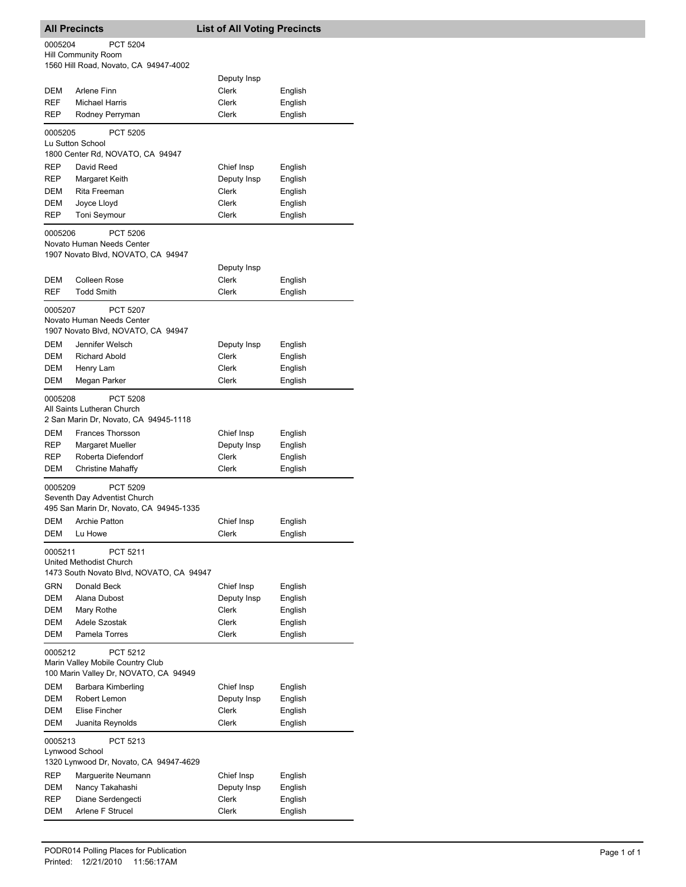## **All Precincts List of All Voting Precincts** 1560 Hill Road, Novato, CA 94947-4002 Hill Community Room 0005204 PCT 5204 Deputy Insp DEM Arlene Finn Clerk Clerk English REF Michael Harris Clerk Clerk English REP Rodney Perryman Clerk Clerk English 1800 Center Rd, NOVATO, CA 94947 Lu Sutton School 0005205 PCT 5205 REP David Reed Chief Insp English REP Margaret Keith **Deputy Insp** English DEM Rita Freeman Clerk Clerk English DEM Joyce Lloyd Clerk English REP Toni Seymour Clerk Clerk English 1907 Novato Blvd, NOVATO, CA 94947 Novato Human Needs Center 0005206 PCT 5206 Deputy Insp DEM Colleen Rose Clerk English REF Todd Smith Clerk Clerk English 1907 Novato Blvd, NOVATO, CA 94947 Novato Human Needs Center 0005207 PCT 5207 DEM Jennifer Welsch **Deputy Insp** English DEM Richard Abold **Clerk** Clerk English DEM Henry Lam Clerk Clerk English DEM Megan Parker Clerk Clerk English 2 San Marin Dr, Novato, CA 94945-1118 All Saints Lutheran Church 0005208 PCT 5208 DEM Frances Thorsson Chief Insp English REP Margaret Mueller **Deputy Insp** English REP Roberta Diefendorf Clerk Clerk English DEM Christine Mahaffy Clerk Clerk English 495 San Marin Dr, Novato, CA 94945-1335 Seventh Day Adventist Church 0005209 PCT 5209 DEM Archie Patton Chief Insp English DEM Lu Howe Clerk Clerk English 1473 South Novato Blvd, NOVATO, CA 94947 United Methodist Church 0005211 PCT 5211 GRN Donald Beck Chief Insp English DEM Alana Dubost **Deputy Insp** English DEM Mary Rothe Clerk Clerk English DEM Adele Szostak Clerk Clerk English DEM Pamela Torres Clerk Clerk English 100 Marin Valley Dr, NOVATO, CA 94949 Marin Valley Mobile Country Club 0005212 PCT 5212 DEM Barbara Kimberling Chief Insp English DEM Robert Lemon Deputy Insp English DEM Elise Fincher Clerk Clerk English DEM Juanita Reynolds Clerk Clerk English 1320 Lynwood Dr, Novato, CA 94947-4629 Lynwood School 0005213 PCT 5213 REP Marguerite Neumann Chief Insp English DEM Nancy Takahashi Deputy Insp English REP Diane Serdengecti Clerk Clerk English DEM Arlene F Strucel Clerk Clerk English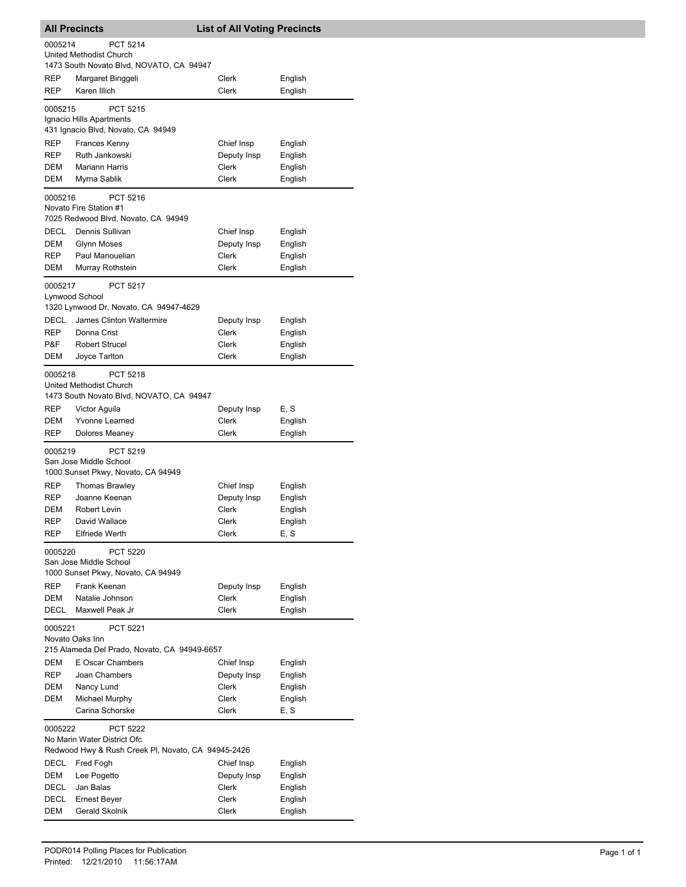|                                                                                                          | <b>All Precincts</b>                                                            | <b>List of All Voting Precincts</b> |                    |
|----------------------------------------------------------------------------------------------------------|---------------------------------------------------------------------------------|-------------------------------------|--------------------|
| 0005214                                                                                                  | PCT 5214<br>United Methodist Church                                             |                                     |                    |
|                                                                                                          | 1473 South Novato Blvd, NOVATO, CA 94947                                        |                                     |                    |
| REP<br><b>REP</b>                                                                                        | Margaret Binggeli<br>Karen Illich                                               | Clerk<br>Clerk                      | English<br>English |
| 0005215                                                                                                  | PCT 5215                                                                        |                                     |                    |
|                                                                                                          | Ignacio Hills Apartments<br>431 Ignacio Blvd, Novato, CA 94949                  |                                     |                    |
| REP                                                                                                      | <b>Frances Kenny</b>                                                            | Chief Insp                          | English            |
| REP                                                                                                      | Ruth Jankowski                                                                  | Deputy Insp                         | English            |
| DEM                                                                                                      | <b>Mariann Harris</b>                                                           | Clerk                               | English            |
| <b>DEM</b>                                                                                               | Myrna Sablik                                                                    | <b>Clerk</b>                        | English            |
| 0005216                                                                                                  | PCT 5216<br>Novato Fire Station #1<br>7025 Redwood Blvd, Novato, CA 94949       |                                     |                    |
| DECL                                                                                                     | Dennis Sullivan                                                                 | Chief Insp                          | English            |
| DEM                                                                                                      | <b>Glynn Moses</b>                                                              | Deputy Insp                         | English            |
| REP                                                                                                      | Paul Manouelian                                                                 | <b>Clerk</b>                        | English            |
| DEM                                                                                                      | Murray Rothstein                                                                | Clerk                               | English            |
| 0005217                                                                                                  | PCT 5217<br>Lynwood School                                                      |                                     |                    |
|                                                                                                          | 1320 Lynwood Dr, Novato, CA 94947-4629<br>James Clinton Waltermire              |                                     |                    |
| DECL<br>REP                                                                                              | Donna Crist                                                                     | Deputy Insp<br>Clerk                | English<br>English |
| P&F                                                                                                      | <b>Robert Strucel</b>                                                           | Clerk                               | English            |
| DEM                                                                                                      | Joyce Tarlton                                                                   | Clerk                               | English            |
| 0005218                                                                                                  | PCT 5218<br>United Methodist Church<br>1473 South Novato Blvd, NOVATO, CA 94947 |                                     |                    |
| REP                                                                                                      | Victor Aguila                                                                   | Deputy Insp                         | E, S               |
| DEM                                                                                                      | Yvonne Learned                                                                  | Clerk                               | English            |
| <b>REP</b>                                                                                               | Dolores Meaney                                                                  | Clerk                               | English            |
| 0005219                                                                                                  | PCT 5219<br>San Jose Middle School<br>1000 Sunset Pkwy, Novato, CA 94949        |                                     |                    |
| REP                                                                                                      | <b>Thomas Brawley</b>                                                           | Chief Insp                          | English            |
| <b>REP</b>                                                                                               | Joanne Keenan                                                                   | Deputy Insp                         | English            |
| DEM                                                                                                      | Robert Levin                                                                    | Clerk                               | English            |
| REP                                                                                                      | David Wallace                                                                   | Clerk                               | English            |
| <b>REP</b>                                                                                               | <b>Elfriede Werth</b>                                                           | Clerk                               | E, S               |
| 0005220                                                                                                  | PCT 5220<br>San Jose Middle School<br>1000 Sunset Pkwy, Novato, CA 94949        |                                     |                    |
| REP                                                                                                      | Frank Keenan                                                                    | Deputy Insp                         | English            |
| DEM                                                                                                      | Natalie Johnson                                                                 | Clerk                               | English            |
| DECL                                                                                                     | Maxwell Peak Jr                                                                 | Clerk                               | English            |
| 0005221                                                                                                  | PCT 5221<br>Novato Oaks Inn                                                     |                                     |                    |
| DEM                                                                                                      | 215 Alameda Del Prado, Novato, CA 94949-6657<br>E Oscar Chambers                |                                     |                    |
| REP                                                                                                      | Joan Chambers                                                                   | Chief Insp<br>Deputy Insp           | English<br>English |
| DEM                                                                                                      | Nancy Lund                                                                      | Clerk                               | English            |
| DEM                                                                                                      | Michael Murphy                                                                  | Clerk                               | English            |
|                                                                                                          | Carina Schorske                                                                 | Clerk                               | E, S               |
| 0005222<br>PCT 5222<br>No Marin Water District Ofc<br>Redwood Hwy & Rush Creek Pl, Novato, CA 94945-2426 |                                                                                 |                                     |                    |
| DECL                                                                                                     | Fred Fogh                                                                       | Chief Insp                          | English            |
| DEM                                                                                                      | Lee Pogetto                                                                     | Deputy Insp                         | English            |
| DECL                                                                                                     | Jan Balas                                                                       | Clerk                               | English            |
| DECL                                                                                                     | Ernest Beyer                                                                    | Clerk                               | English            |
| DEM                                                                                                      | Gerald Skolnik                                                                  | Clerk                               | English            |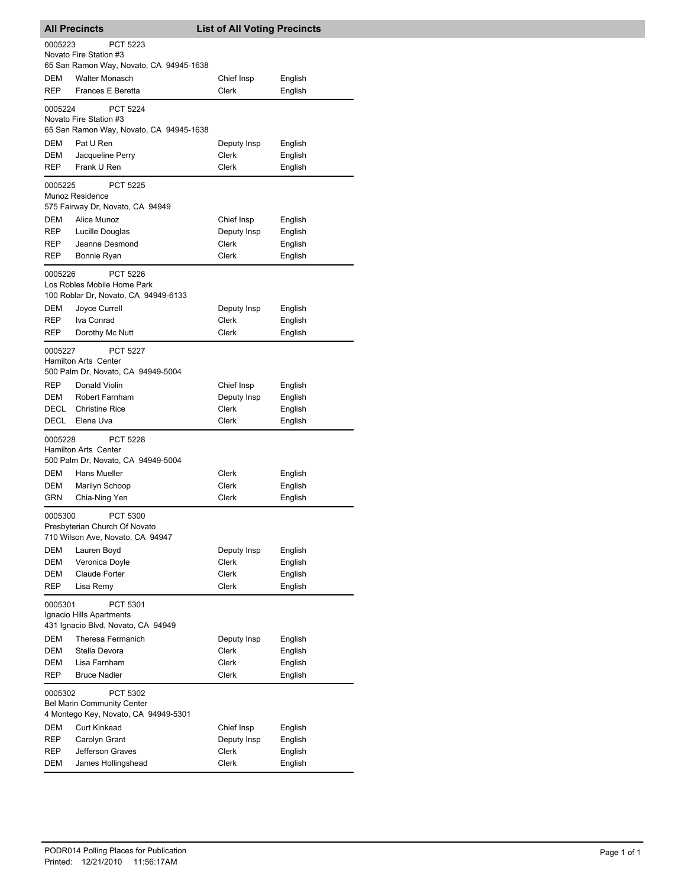|                                      | <b>All Precincts</b>                                | <b>List of All Voting Precincts</b> |                    |  |
|--------------------------------------|-----------------------------------------------------|-------------------------------------|--------------------|--|
| 0005223                              | <b>PCT 5223</b>                                     |                                     |                    |  |
|                                      | Novato Fire Station #3                              |                                     |                    |  |
|                                      | 65 San Ramon Way, Novato, CA 94945-1638             |                                     |                    |  |
| DEM                                  | <b>Walter Monasch</b>                               | Chief Insp                          | English            |  |
| <b>REP</b>                           | Frances E Beretta                                   | Clerk                               | English            |  |
| 0005224                              | <b>PCT 5224</b>                                     |                                     |                    |  |
|                                      | Novato Fire Station #3                              |                                     |                    |  |
|                                      | 65 San Ramon Way, Novato, CA 94945-1638             |                                     |                    |  |
| DEM<br>DEM                           | Pat U Ren<br>Jacqueline Perry                       | Deputy Insp<br>Clerk                | English<br>English |  |
| REP                                  | Frank U Ren                                         | Clerk                               | English            |  |
|                                      |                                                     |                                     |                    |  |
| 0005225                              | <b>PCT 5225</b><br>Munoz Residence                  |                                     |                    |  |
|                                      | 575 Fairway Dr, Novato, CA 94949                    |                                     |                    |  |
| DEM                                  | Alice Munoz                                         | Chief Insp                          | English            |  |
| <b>REP</b>                           | Lucille Douglas                                     | Deputy Insp                         | English            |  |
| REP                                  | Jeanne Desmond                                      | <b>Clerk</b>                        | English            |  |
| REP                                  | Bonnie Ryan                                         | Clerk                               | English            |  |
| 0005226                              | <b>PCT 5226</b>                                     |                                     |                    |  |
|                                      | Los Robles Mobile Home Park                         |                                     |                    |  |
|                                      | 100 Roblar Dr, Novato, CA 94949-6133                |                                     |                    |  |
| DEM                                  | Joyce Currell                                       | Deputy Insp                         | English            |  |
| <b>REP</b>                           | Iva Conrad                                          | Clerk                               | English            |  |
| REP                                  | Dorothy Mc Nutt                                     | Clerk                               | English            |  |
| 0005227                              | <b>PCT 5227</b>                                     |                                     |                    |  |
|                                      | <b>Hamilton Arts Center</b>                         |                                     |                    |  |
|                                      | 500 Palm Dr, Novato, CA 94949-5004<br>Donald Violin |                                     |                    |  |
| REP<br>DEM                           | <b>Robert Farnham</b>                               | Chief Insp<br>Deputy Insp           | English<br>English |  |
| DECL                                 | <b>Christine Rice</b>                               | Clerk                               | English            |  |
| DECL                                 | Elena Uva                                           | Clerk                               | English            |  |
| 0005228                              | <b>PCT 5228</b>                                     |                                     |                    |  |
|                                      | <b>Hamilton Arts Center</b>                         |                                     |                    |  |
|                                      | 500 Palm Dr, Novato, CA 94949-5004                  |                                     |                    |  |
| DEM                                  | <b>Hans Mueller</b>                                 | Clerk                               | English            |  |
| DEM                                  | Marilyn Schoop                                      | Clerk                               | English            |  |
| GRN                                  | Chia-Ning Yen                                       | Clerk                               | English            |  |
| 0005300                              | <b>PCT 5300</b>                                     |                                     |                    |  |
|                                      | Presbyterian Church Of Novato                       |                                     |                    |  |
|                                      | 710 Wilson Ave, Novato, CA 94947                    |                                     |                    |  |
| DEM                                  | Lauren Boyd                                         | Deputy Insp                         | English            |  |
| DEM                                  | Veronica Doyle                                      | Clerk<br><b>Clerk</b>               | English            |  |
| DEM<br>REP                           | Claude Forter<br>Lisa Remy                          | <b>Clerk</b>                        | English<br>English |  |
|                                      |                                                     |                                     |                    |  |
| 0005301                              | PCT 5301<br>Ignacio Hills Apartments                |                                     |                    |  |
|                                      | 431 Ignacio Blvd, Novato, CA 94949                  |                                     |                    |  |
| DEM                                  | Theresa Fermanich                                   | Deputy Insp                         | English            |  |
| DEM                                  | Stella Devora                                       | Clerk                               | English            |  |
| DEM                                  | Lisa Farnham                                        | Clerk                               | English            |  |
| <b>REP</b>                           | <b>Bruce Nadler</b>                                 | Clerk                               | English            |  |
| 0005302                              | PCT 5302                                            |                                     |                    |  |
| <b>Bel Marin Community Center</b>    |                                                     |                                     |                    |  |
| 4 Montego Key, Novato, CA 94949-5301 |                                                     |                                     |                    |  |
| DEM                                  | <b>Curt Kinkead</b>                                 | Chief Insp                          | English            |  |
| REP                                  | Carolyn Grant                                       | Deputy Insp                         | English            |  |
| REP<br>DEM                           | Jefferson Graves<br>James Hollingshead              | Clerk<br>Clerk                      | English<br>English |  |
|                                      |                                                     |                                     |                    |  |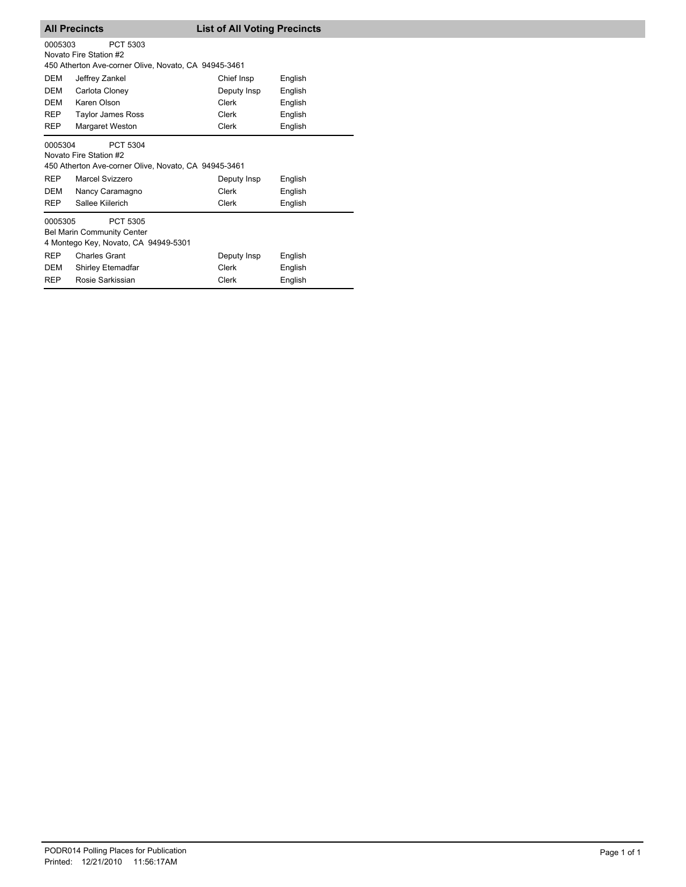| <b>All Precincts</b> | <b>List of All Voting Precincts</b> |
|----------------------|-------------------------------------|
|                      |                                     |

| 0005303<br>PCT 5303<br>Novato Fire Station #2<br>450 Atherton Ave-corner Olive, Novato, CA 94945-3461 |                                                                                                                                                      |                               |                               |  |
|-------------------------------------------------------------------------------------------------------|------------------------------------------------------------------------------------------------------------------------------------------------------|-------------------------------|-------------------------------|--|
| DEM                                                                                                   | Jeffrey Zankel                                                                                                                                       | Chief Insp                    | English                       |  |
| DEM                                                                                                   | Carlota Cloney                                                                                                                                       | Deputy Insp                   | English                       |  |
| <b>DEM</b>                                                                                            | Karen Olson                                                                                                                                          | Clerk                         | English                       |  |
| <b>REP</b>                                                                                            | Taylor James Ross                                                                                                                                    | Clerk                         | English                       |  |
| <b>REP</b>                                                                                            | <b>Margaret Weston</b>                                                                                                                               | <b>Clerk</b>                  | English                       |  |
| 0005304<br><b>REP</b><br>DEM<br><b>REP</b>                                                            | PCT 5304<br>Novato Fire Station #2<br>450 Atherton Ave-corner Olive, Novato, CA 94945-3461<br>Marcel Svizzero<br>Nancy Caramagno<br>Sallee Kiilerich | Deputy Insp<br>Clerk<br>Clerk | English<br>English<br>English |  |
| 0005305<br>PCT 5305<br><b>Bel Marin Community Center</b><br>4 Montego Key, Novato, CA 94949-5301      |                                                                                                                                                      |                               |                               |  |
| <b>REP</b>                                                                                            | <b>Charles Grant</b>                                                                                                                                 | Deputy Insp                   | English                       |  |
| DEM                                                                                                   | Shirley Etemadfar                                                                                                                                    | Clerk                         | English                       |  |
| <b>REP</b>                                                                                            | Rosie Sarkissian                                                                                                                                     | <b>Clerk</b>                  | English                       |  |